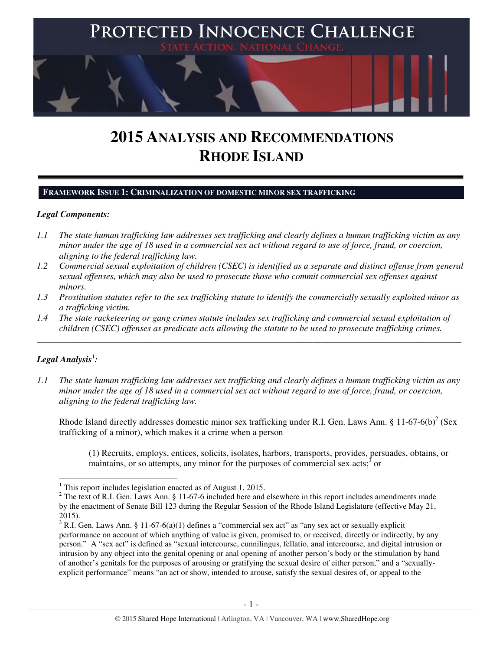

# **2015 ANALYSIS AND RECOMMENDATIONS RHODE ISLAND**

## **FRAMEWORK ISSUE 1: CRIMINALIZATION OF DOMESTIC MINOR SEX TRAFFICKING**

## *Legal Components:*

- *1.1 The state human trafficking law addresses sex trafficking and clearly defines a human trafficking victim as any minor under the age of 18 used in a commercial sex act without regard to use of force, fraud, or coercion, aligning to the federal trafficking law.*
- *1.2 Commercial sexual exploitation of children (CSEC) is identified as a separate and distinct offense from general sexual offenses, which may also be used to prosecute those who commit commercial sex offenses against minors.*
- *1.3 Prostitution statutes refer to the sex trafficking statute to identify the commercially sexually exploited minor as a trafficking victim.*
- *1.4 The state racketeering or gang crimes statute includes sex trafficking and commercial sexual exploitation of children (CSEC) offenses as predicate acts allowing the statute to be used to prosecute trafficking crimes.*

\_\_\_\_\_\_\_\_\_\_\_\_\_\_\_\_\_\_\_\_\_\_\_\_\_\_\_\_\_\_\_\_\_\_\_\_\_\_\_\_\_\_\_\_\_\_\_\_\_\_\_\_\_\_\_\_\_\_\_\_\_\_\_\_\_\_\_\_\_\_\_\_\_\_\_\_\_\_\_\_\_\_\_\_\_\_\_\_\_\_\_\_\_\_

# $\bm{L}$ egal Analysis $^1$ :

 $\overline{a}$ 

*1.1 The state human trafficking law addresses sex trafficking and clearly defines a human trafficking victim as any minor under the age of 18 used in a commercial sex act without regard to use of force, fraud, or coercion, aligning to the federal trafficking law.*

Rhode Island directly addresses domestic minor sex trafficking under R.I. Gen. Laws Ann. § 11-67-6(b)<sup>2</sup> (Sex trafficking of a minor), which makes it a crime when a person

(1) Recruits, employs, entices, solicits, isolates, harbors, transports, provides, persuades, obtains, or maintains, or so attempts, any minor for the purposes of commercial sex acts; $\delta$  or

<sup>&</sup>lt;sup>1</sup> This report includes legislation enacted as of August 1, 2015.

<sup>&</sup>lt;sup>2</sup> The text of R.I. Gen. Laws Ann. § 11-67-6 included here and elsewhere in this report includes amendments made by the enactment of Senate Bill 123 during the Regular Session of the Rhode Island Legislature (effective May 21, 2015).

<sup>&</sup>lt;sup>3</sup> R.I. Gen. Laws Ann. § 11-67-6(a)(1) defines a "commercial sex act" as "any sex act or sexually explicit performance on account of which anything of value is given, promised to, or received, directly or indirectly, by any person." A "sex act" is defined as "sexual intercourse, cunnilingus, fellatio, anal intercourse, and digital intrusion or intrusion by any object into the genital opening or anal opening of another person's body or the stimulation by hand of another's genitals for the purposes of arousing or gratifying the sexual desire of either person," and a "sexuallyexplicit performance" means "an act or show, intended to arouse, satisfy the sexual desires of, or appeal to the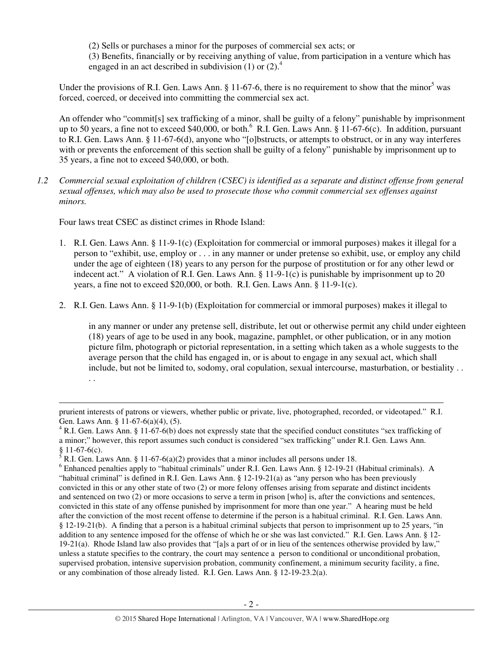(2) Sells or purchases a minor for the purposes of commercial sex acts; or (3) Benefits, financially or by receiving anything of value, from participation in a venture which has engaged in an act described in subdivision  $(1)$  or  $(2)$ .<sup>4</sup>

Under the provisions of R.I. Gen. Laws Ann.  $\S 11-67-6$ , there is no requirement to show that the minor<sup>5</sup> was forced, coerced, or deceived into committing the commercial sex act.

An offender who "commit[s] sex trafficking of a minor, shall be guilty of a felony" punishable by imprisonment up to 50 years, a fine not to exceed \$40,000, or both. $^6$  R.I. Gen. Laws Ann. § 11-67-6(c). In addition, pursuant to R.I. Gen. Laws Ann. § 11-67-6(d), anyone who "[o]bstructs, or attempts to obstruct, or in any way interferes with or prevents the enforcement of this section shall be guilty of a felony" punishable by imprisonment up to 35 years, a fine not to exceed \$40,000, or both.

*1.2 Commercial sexual exploitation of children (CSEC) is identified as a separate and distinct offense from general sexual offenses, which may also be used to prosecute those who commit commercial sex offenses against minors.*

Four laws treat CSEC as distinct crimes in Rhode Island:

l

- 1. R.I. Gen. Laws Ann. § 11-9-1(c) (Exploitation for commercial or immoral purposes) makes it illegal for a person to "exhibit, use, employ or . . . in any manner or under pretense so exhibit, use, or employ any child under the age of eighteen (18) years to any person for the purpose of prostitution or for any other lewd or indecent act." A violation of R.I. Gen. Laws Ann. § 11-9-1(c) is punishable by imprisonment up to 20 years, a fine not to exceed \$20,000, or both. R.I. Gen. Laws Ann. § 11-9-1(c).
- 2. R.I. Gen. Laws Ann. § 11-9-1(b) (Exploitation for commercial or immoral purposes) makes it illegal to

in any manner or under any pretense sell, distribute, let out or otherwise permit any child under eighteen (18) years of age to be used in any book, magazine, pamphlet, or other publication, or in any motion picture film, photograph or pictorial representation, in a setting which taken as a whole suggests to the average person that the child has engaged in, or is about to engage in any sexual act, which shall include, but not be limited to, sodomy, oral copulation, sexual intercourse, masturbation, or bestiality . . . .

prurient interests of patrons or viewers, whether public or private, live, photographed, recorded, or videotaped." R.I. Gen. Laws Ann. § 11-67-6(a)(4), (5).

 $4$  R.I. Gen. Laws Ann. § 11-67-6(b) does not expressly state that the specified conduct constitutes "sex trafficking of a minor;" however, this report assumes such conduct is considered "sex trafficking" under R.I. Gen. Laws Ann.

<sup>§ 11-67-6(</sup>c).<br><sup>5</sup> R.I. Gen. Laws Ann. § 11-67-6(a)(2) provides that a minor includes all persons under 18.

<sup>&</sup>lt;sup>6</sup> Enhanced penalties apply to "habitual criminals" under R.I. Gen. Laws Ann. § 12-19-21 (Habitual criminals). A "habitual criminal" is defined in R.I. Gen. Laws Ann. § 12-19-21(a) as "any person who has been previously convicted in this or any other state of two (2) or more felony offenses arising from separate and distinct incidents and sentenced on two (2) or more occasions to serve a term in prison [who] is, after the convictions and sentences, convicted in this state of any offense punished by imprisonment for more than one year." A hearing must be held after the conviction of the most recent offense to determine if the person is a habitual criminal. R.I. Gen. Laws Ann. § 12-19-21(b). A finding that a person is a habitual criminal subjects that person to imprisonment up to 25 years, "in addition to any sentence imposed for the offense of which he or she was last convicted." R.I. Gen. Laws Ann. § 12-  $19-21(a)$ . Rhode Island law also provides that "[a]s a part of or in lieu of the sentences otherwise provided by law," unless a statute specifies to the contrary, the court may sentence a person to conditional or unconditional probation, supervised probation, intensive supervision probation, community confinement, a minimum security facility, a fine, or any combination of those already listed. R.I. Gen. Laws Ann. § 12-19-23.2(a).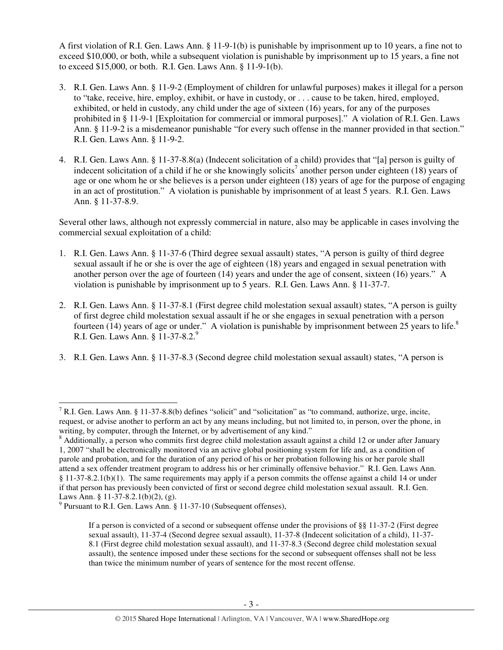A first violation of R.I. Gen. Laws Ann. § 11-9-1(b) is punishable by imprisonment up to 10 years, a fine not to exceed \$10,000, or both, while a subsequent violation is punishable by imprisonment up to 15 years, a fine not to exceed \$15,000, or both. R.I. Gen. Laws Ann. § 11-9-1(b).

- 3. R.I. Gen. Laws Ann. § 11-9-2 (Employment of children for unlawful purposes) makes it illegal for a person to "take, receive, hire, employ, exhibit, or have in custody, or . . . cause to be taken, hired, employed, exhibited, or held in custody, any child under the age of sixteen (16) years, for any of the purposes prohibited in § 11-9-1 [Exploitation for commercial or immoral purposes]." A violation of R.I. Gen. Laws Ann. § 11-9-2 is a misdemeanor punishable "for every such offense in the manner provided in that section." R.I. Gen. Laws Ann. § 11-9-2.
- 4. R.I. Gen. Laws Ann. § 11-37-8.8(a) (Indecent solicitation of a child) provides that "[a] person is guilty of indecent solicitation of a child if he or she knowingly solicits<sup>7</sup> another person under eighteen (18) years of age or one whom he or she believes is a person under eighteen (18) years of age for the purpose of engaging in an act of prostitution." A violation is punishable by imprisonment of at least 5 years. R.I. Gen. Laws Ann. § 11-37-8.9.

Several other laws, although not expressly commercial in nature, also may be applicable in cases involving the commercial sexual exploitation of a child:

- 1. R.I. Gen. Laws Ann. § 11-37-6 (Third degree sexual assault) states, "A person is guilty of third degree sexual assault if he or she is over the age of eighteen (18) years and engaged in sexual penetration with another person over the age of fourteen (14) years and under the age of consent, sixteen (16) years." A violation is punishable by imprisonment up to 5 years. R.I. Gen. Laws Ann. § 11-37-7.
- 2. R.I. Gen. Laws Ann. § 11-37-8.1 (First degree child molestation sexual assault) states, "A person is guilty of first degree child molestation sexual assault if he or she engages in sexual penetration with a person fourteen (14) years of age or under." A violation is punishable by imprisonment between 25 years to life. $8$ R.I. Gen. Laws Ann. § 11-37-8.2.<sup>9</sup>
- 3. R.I. Gen. Laws Ann. § 11-37-8.3 (Second degree child molestation sexual assault) states, "A person is

l

<sup>&</sup>lt;sup>7</sup> R.I. Gen. Laws Ann. § 11-37-8.8(b) defines "solicit" and "solicitation" as "to command, authorize, urge, incite, request, or advise another to perform an act by any means including, but not limited to, in person, over the phone, in writing, by computer, through the Internet, or by advertisement of any kind."

<sup>&</sup>lt;sup>8</sup> Additionally, a person who commits first degree child molestation assault against a child 12 or under after January 1, 2007 "shall be electronically monitored via an active global positioning system for life and, as a condition of parole and probation, and for the duration of any period of his or her probation following his or her parole shall attend a sex offender treatment program to address his or her criminally offensive behavior." R.I. Gen. Laws Ann. § 11-37-8.2.1(b)(1). The same requirements may apply if a person commits the offense against a child 14 or under if that person has previously been convicted of first or second degree child molestation sexual assault. R.I. Gen. Laws Ann. § 11-37-8.2.1(b)(2), (g).

<sup>&</sup>lt;sup>9</sup> Pursuant to R.I. Gen. Laws Ann. § 11-37-10 (Subsequent offenses),

If a person is convicted of a second or subsequent offense under the provisions of §§ 11-37-2 (First degree sexual assault), 11-37-4 (Second degree sexual assault), 11-37-8 (Indecent solicitation of a child), 11-37- 8.1 (First degree child molestation sexual assault), and 11-37-8.3 (Second degree child molestation sexual assault), the sentence imposed under these sections for the second or subsequent offenses shall not be less than twice the minimum number of years of sentence for the most recent offense.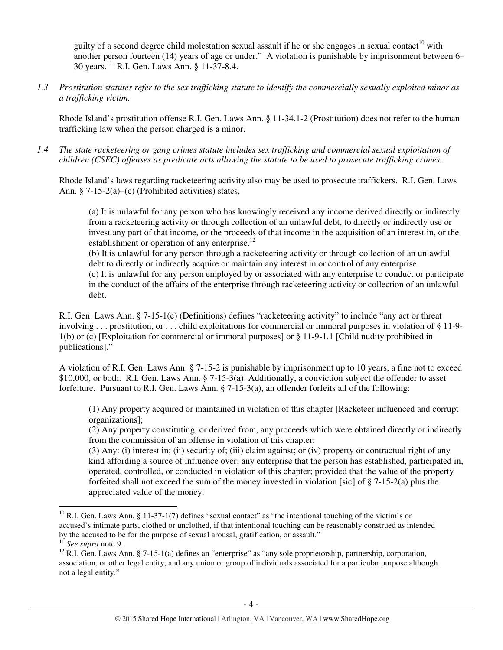guilty of a second degree child molestation sexual assault if he or she engages in sexual contact<sup>10</sup> with another person fourteen (14) years of age or under." A violation is punishable by imprisonment between 6– 30 years.<sup>11</sup> R.I. Gen. Laws Ann. § 11-37-8.4.

*1.3 Prostitution statutes refer to the sex trafficking statute to identify the commercially sexually exploited minor as a trafficking victim.* 

Rhode Island's prostitution offense R.I. Gen. Laws Ann. § 11-34.1-2 (Prostitution) does not refer to the human trafficking law when the person charged is a minor.

*1.4 The state racketeering or gang crimes statute includes sex trafficking and commercial sexual exploitation of children (CSEC) offenses as predicate acts allowing the statute to be used to prosecute trafficking crimes.* 

Rhode Island's laws regarding racketeering activity also may be used to prosecute traffickers. R.I. Gen. Laws Ann. § 7-15-2(a)–(c) (Prohibited activities) states,

(a) It is unlawful for any person who has knowingly received any income derived directly or indirectly from a racketeering activity or through collection of an unlawful debt, to directly or indirectly use or invest any part of that income, or the proceeds of that income in the acquisition of an interest in, or the establishment or operation of any enterprise.<sup>12</sup>

(b) It is unlawful for any person through a racketeering activity or through collection of an unlawful debt to directly or indirectly acquire or maintain any interest in or control of any enterprise. (c) It is unlawful for any person employed by or associated with any enterprise to conduct or participate in the conduct of the affairs of the enterprise through racketeering activity or collection of an unlawful debt.

R.I. Gen. Laws Ann. § 7-15-1(c) (Definitions) defines "racketeering activity" to include "any act or threat involving . . . prostitution, or . . . child exploitations for commercial or immoral purposes in violation of § 11-9- 1(b) or (c) [Exploitation for commercial or immoral purposes] or § 11-9-1.1 [Child nudity prohibited in publications]."

A violation of R.I. Gen. Laws Ann. § 7-15-2 is punishable by imprisonment up to 10 years, a fine not to exceed \$10,000, or both. R.I. Gen. Laws Ann. § 7-15-3(a). Additionally, a conviction subject the offender to asset forfeiture. Pursuant to R.I. Gen. Laws Ann. § 7-15-3(a), an offender forfeits all of the following:

(1) Any property acquired or maintained in violation of this chapter [Racketeer influenced and corrupt organizations];

(2) Any property constituting, or derived from, any proceeds which were obtained directly or indirectly from the commission of an offense in violation of this chapter;

(3) Any: (i) interest in; (ii) security of; (iii) claim against; or (iv) property or contractual right of any kind affording a source of influence over; any enterprise that the person has established, participated in, operated, controlled, or conducted in violation of this chapter; provided that the value of the property forfeited shall not exceed the sum of the money invested in violation [sic] of  $\S$  7-15-2(a) plus the appreciated value of the money.

 $\overline{a}$ 

 $10$  R.I. Gen. Laws Ann. § 11-37-1(7) defines "sexual contact" as "the intentional touching of the victim's or accused's intimate parts, clothed or unclothed, if that intentional touching can be reasonably construed as intended by the accused to be for the purpose of sexual arousal, gratification, or assault."

<sup>11</sup> *See supra* note 9.

<sup>&</sup>lt;sup>12</sup> R.I. Gen. Laws Ann. § 7-15-1(a) defines an "enterprise" as "any sole proprietorship, partnership, corporation, association, or other legal entity, and any union or group of individuals associated for a particular purpose although not a legal entity."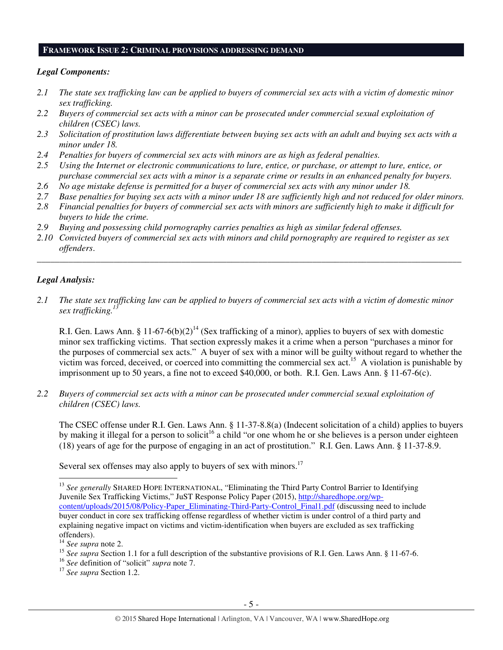#### **FRAMEWORK ISSUE 2: CRIMINAL PROVISIONS ADDRESSING DEMAND**

## *Legal Components:*

- *2.1 The state sex trafficking law can be applied to buyers of commercial sex acts with a victim of domestic minor sex trafficking.*
- *2.2 Buyers of commercial sex acts with a minor can be prosecuted under commercial sexual exploitation of children (CSEC) laws.*
- *2.3 Solicitation of prostitution laws differentiate between buying sex acts with an adult and buying sex acts with a minor under 18.*
- *2.4 Penalties for buyers of commercial sex acts with minors are as high as federal penalties.*
- *2.5 Using the Internet or electronic communications to lure, entice, or purchase, or attempt to lure, entice, or purchase commercial sex acts with a minor is a separate crime or results in an enhanced penalty for buyers.*
- *2.6 No age mistake defense is permitted for a buyer of commercial sex acts with any minor under 18.*
- *2.7 Base penalties for buying sex acts with a minor under 18 are sufficiently high and not reduced for older minors.*
- *2.8 Financial penalties for buyers of commercial sex acts with minors are sufficiently high to make it difficult for buyers to hide the crime.*
- *2.9 Buying and possessing child pornography carries penalties as high as similar federal offenses.*
- *2.10 Convicted buyers of commercial sex acts with minors and child pornography are required to register as sex offenders*.

\_\_\_\_\_\_\_\_\_\_\_\_\_\_\_\_\_\_\_\_\_\_\_\_\_\_\_\_\_\_\_\_\_\_\_\_\_\_\_\_\_\_\_\_\_\_\_\_\_\_\_\_\_\_\_\_\_\_\_\_\_\_\_\_\_\_\_\_\_\_\_\_\_\_\_\_\_\_\_\_\_\_\_\_\_\_\_\_\_\_\_\_\_\_

# *Legal Analysis:*

*2.1 The state sex trafficking law can be applied to buyers of commercial sex acts with a victim of domestic minor sex trafficking.<sup>13</sup>*

R.I. Gen. Laws Ann. § 11-67-6(b)(2)<sup>14</sup> (Sex trafficking of a minor), applies to buyers of sex with domestic minor sex trafficking victims. That section expressly makes it a crime when a person "purchases a minor for the purposes of commercial sex acts." A buyer of sex with a minor will be guilty without regard to whether the victim was forced, deceived, or coerced into committing the commercial sex act.<sup>15</sup> A violation is punishable by imprisonment up to 50 years, a fine not to exceed \$40,000, or both. R.I. Gen. Laws Ann. § 11-67-6(c).

*2.2 Buyers of commercial sex acts with a minor can be prosecuted under commercial sexual exploitation of children (CSEC) laws.* 

The CSEC offense under R.I. Gen. Laws Ann. § 11-37-8.8(a) (Indecent solicitation of a child) applies to buyers by making it illegal for a person to solicit<sup>16</sup> a child "or one whom he or she believes is a person under eighteen (18) years of age for the purpose of engaging in an act of prostitution." R.I. Gen. Laws Ann. § 11-37-8.9.

Several sex offenses may also apply to buyers of sex with minors.<sup>17</sup>

 $\overline{a}$ 

<sup>&</sup>lt;sup>13</sup> See generally SHARED HOPE INTERNATIONAL, "Eliminating the Third Party Control Barrier to Identifying Juvenile Sex Trafficking Victims," JuST Response Policy Paper (2015), http://sharedhope.org/wpcontent/uploads/2015/08/Policy-Paper\_Eliminating-Third-Party-Control\_Final1.pdf (discussing need to include buyer conduct in core sex trafficking offense regardless of whether victim is under control of a third party and explaining negative impact on victims and victim-identification when buyers are excluded as sex trafficking offenders).

<sup>14</sup> *See supra* note 2.

<sup>&</sup>lt;sup>15</sup> See supra Section 1.1 for a full description of the substantive provisions of R.I. Gen. Laws Ann. § 11-67-6.

<sup>16</sup> *See* definition of "solicit" *supra* note 7.

<sup>17</sup> *See supra* Section 1.2.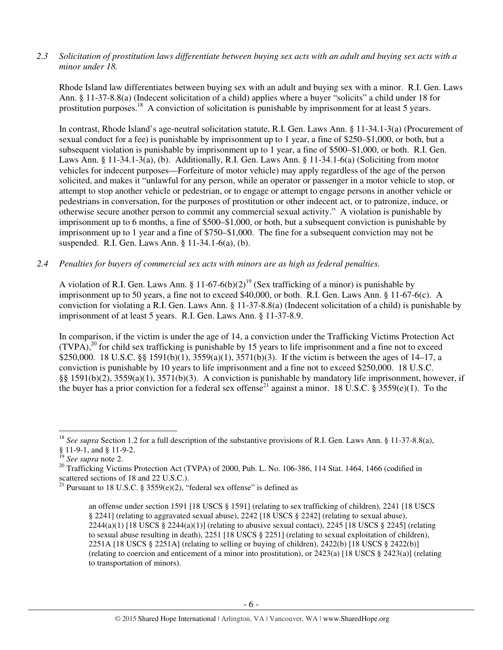## *2.3 Solicitation of prostitution laws differentiate between buying sex acts with an adult and buying sex acts with a minor under 18.*

Rhode Island law differentiates between buying sex with an adult and buying sex with a minor. R.I. Gen. Laws Ann. § 11-37-8.8(a) (Indecent solicitation of a child) applies where a buyer "solicits" a child under 18 for prostitution purposes.<sup>18</sup> A conviction of solicitation is punishable by imprisonment for at least 5 years.

In contrast, Rhode Island's age-neutral solicitation statute, R.I. Gen. Laws Ann. § 11-34.1-3(a) (Procurement of sexual conduct for a fee) is punishable by imprisonment up to 1 year, a fine of \$250–\$1,000, or both, but a subsequent violation is punishable by imprisonment up to 1 year, a fine of \$500–\$1,000, or both. R.I. Gen. Laws Ann. § 11-34.1-3(a), (b). Additionally, R.I. Gen. Laws Ann. § 11-34.1-6(a) (Soliciting from motor vehicles for indecent purposes—Forfeiture of motor vehicle) may apply regardless of the age of the person solicited, and makes it "unlawful for any person, while an operator or passenger in a motor vehicle to stop, or attempt to stop another vehicle or pedestrian, or to engage or attempt to engage persons in another vehicle or pedestrians in conversation, for the purposes of prostitution or other indecent act, or to patronize, induce, or otherwise secure another person to commit any commercial sexual activity." A violation is punishable by imprisonment up to 6 months, a fine of \$500–\$1,000, or both, but a subsequent conviction is punishable by imprisonment up to 1 year and a fine of \$750–\$1,000. The fine for a subsequent conviction may not be suspended. R.I. Gen. Laws Ann. § 11-34.1-6(a), (b).

#### *2.4 Penalties for buyers of commercial sex acts with minors are as high as federal penalties.*

A violation of R.I. Gen. Laws Ann. § 11-67-6(b)(2)<sup>19</sup> (Sex trafficking of a minor) is punishable by imprisonment up to 50 years, a fine not to exceed \$40,000, or both. R.I. Gen. Laws Ann. § 11-67-6(c). A conviction for violating a R.I. Gen. Laws Ann. § 11-37-8.8(a) (Indecent solicitation of a child) is punishable by imprisonment of at least 5 years. R.I. Gen. Laws Ann. § 11-37-8.9.

In comparison, if the victim is under the age of 14, a conviction under the Trafficking Victims Protection Act  $(TVPA)<sup>20</sup>$  for child sex trafficking is punishable by 15 years to life imprisonment and a fine not to exceed \$250,000. 18 U.S.C. §§ 1591(b)(1), 3559(a)(1), 3571(b)(3). If the victim is between the ages of 14–17, a conviction is punishable by 10 years to life imprisonment and a fine not to exceed \$250,000. 18 U.S.C. §§ 1591(b)(2), 3559(a)(1), 3571(b)(3). A conviction is punishable by mandatory life imprisonment, however, if the buyer has a prior conviction for a federal sex offense<sup>21</sup> against a minor. 18 U.S.C. § 3559(e)(1). To the

 $\overline{a}$ 

<sup>20</sup> Trafficking Victims Protection Act (TVPA) of 2000, Pub. L. No. 106-386, 114 Stat. 1464, 1466 (codified in scattered sections of 18 and 22 U.S.C.).

<sup>&</sup>lt;sup>18</sup> *See supra* Section 1.2 for a full description of the substantive provisions of R.I. Gen. Laws Ann. § 11-37-8.8(a), § 11-9-1, and § 11-9-2.

<sup>19</sup> *See supra* note 2.

<sup>&</sup>lt;sup>21</sup> Pursuant to 18 U.S.C. § 3559 $(e)(2)$ , "federal sex offense" is defined as

an offense under section 1591 [18 USCS § 1591] (relating to sex trafficking of children), 2241 [18 USCS § 2241] (relating to aggravated sexual abuse), 2242 [18 USCS § 2242] (relating to sexual abuse),  $2244(a)(1)$  [18 USCS §  $2244(a)(1)$ ] (relating to abusive sexual contact),  $2245$  [18 USCS § 2245] (relating to sexual abuse resulting in death), 2251 [18 USCS § 2251] (relating to sexual exploitation of children), 2251A [18 USCS § 2251A] (relating to selling or buying of children), 2422(b) [18 USCS § 2422(b)] (relating to coercion and enticement of a minor into prostitution), or 2423(a) [18 USCS § 2423(a)] (relating to transportation of minors).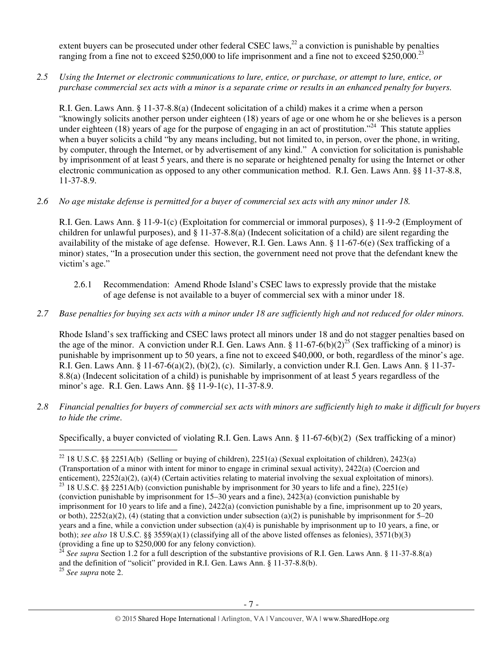extent buyers can be prosecuted under other federal CSEC laws, $^{22}$  a conviction is punishable by penalties ranging from a fine not to exceed \$250,000 to life imprisonment and a fine not to exceed \$250,000.<sup>23</sup>

*2.5 Using the Internet or electronic communications to lure, entice, or purchase, or attempt to lure, entice, or purchase commercial sex acts with a minor is a separate crime or results in an enhanced penalty for buyers.* 

R.I. Gen. Laws Ann. § 11-37-8.8(a) (Indecent solicitation of a child) makes it a crime when a person "knowingly solicits another person under eighteen (18) years of age or one whom he or she believes is a person under eighteen (18) years of age for the purpose of engaging in an act of prostitution."<sup>24</sup> This statute applies when a buyer solicits a child "by any means including, but not limited to, in person, over the phone, in writing, by computer, through the Internet, or by advertisement of any kind." A conviction for solicitation is punishable by imprisonment of at least 5 years, and there is no separate or heightened penalty for using the Internet or other electronic communication as opposed to any other communication method. R.I. Gen. Laws Ann. §§ 11-37-8.8, 11-37-8.9.

*2.6 No age mistake defense is permitted for a buyer of commercial sex acts with any minor under 18.* 

R.I. Gen. Laws Ann. § 11-9-1(c) (Exploitation for commercial or immoral purposes), § 11-9-2 (Employment of children for unlawful purposes), and § 11-37-8.8(a) (Indecent solicitation of a child) are silent regarding the availability of the mistake of age defense. However, R.I. Gen. Laws Ann. § 11-67-6(e) (Sex trafficking of a minor) states, "In a prosecution under this section, the government need not prove that the defendant knew the victim's age."

- 2.6.1 Recommendation: Amend Rhode Island's CSEC laws to expressly provide that the mistake of age defense is not available to a buyer of commercial sex with a minor under 18.
- *2.7 Base penalties for buying sex acts with a minor under 18 are sufficiently high and not reduced for older minors.*

Rhode Island's sex trafficking and CSEC laws protect all minors under 18 and do not stagger penalties based on the age of the minor. A conviction under R.I. Gen. Laws Ann. § 11-67-6(b)(2)<sup>25</sup> (Sex trafficking of a minor) is punishable by imprisonment up to 50 years, a fine not to exceed \$40,000, or both, regardless of the minor's age. R.I. Gen. Laws Ann. § 11-67-6(a)(2), (b)(2), (c). Similarly, a conviction under R.I. Gen. Laws Ann. § 11-37- 8.8(a) (Indecent solicitation of a child) is punishable by imprisonment of at least 5 years regardless of the minor's age. R.I. Gen. Laws Ann. §§ 11-9-1(c), 11-37-8.9.

*2.8 Financial penalties for buyers of commercial sex acts with minors are sufficiently high to make it difficult for buyers to hide the crime.* 

Specifically, a buyer convicted of violating R.I. Gen. Laws Ann. § 11-67-6(b)(2) (Sex trafficking of a minor) l

<sup>25</sup> *See supra* note 2.

<sup>&</sup>lt;sup>22</sup> 18 U.S.C. §§ 2251A(b) (Selling or buying of children), 2251(a) (Sexual exploitation of children), 2423(a) (Transportation of a minor with intent for minor to engage in criminal sexual activity), 2422(a) (Coercion and enticement), 2252(a)(2), (a)(4) (Certain activities relating to material involving the sexual exploitation of minors). <sup>23</sup> 18 U.S.C. §§ 2251A(b) (conviction punishable by imprisonment for 30 years to life and a fine), 2251(e)

<sup>(</sup>conviction punishable by imprisonment for 15–30 years and a fine), 2423(a) (conviction punishable by imprisonment for 10 years to life and a fine), 2422(a) (conviction punishable by a fine, imprisonment up to 20 years, or both),  $2252(a)(2)$ , (4) (stating that a conviction under subsection (a)(2) is punishable by imprisonment for 5–20 years and a fine, while a conviction under subsection (a)(4) is punishable by imprisonment up to 10 years, a fine, or both); *see also* 18 U.S.C. §§ 3559(a)(1) (classifying all of the above listed offenses as felonies), 3571(b)(3) (providing a fine up to \$250,000 for any felony conviction).

<sup>&</sup>lt;sup>24</sup> *See supra* Section 1.2 for a full description of the substantive provisions of R.I. Gen. Laws Ann. § 11-37-8.8(a) and the definition of "solicit" provided in R.I. Gen. Laws Ann. § 11-37-8.8(b).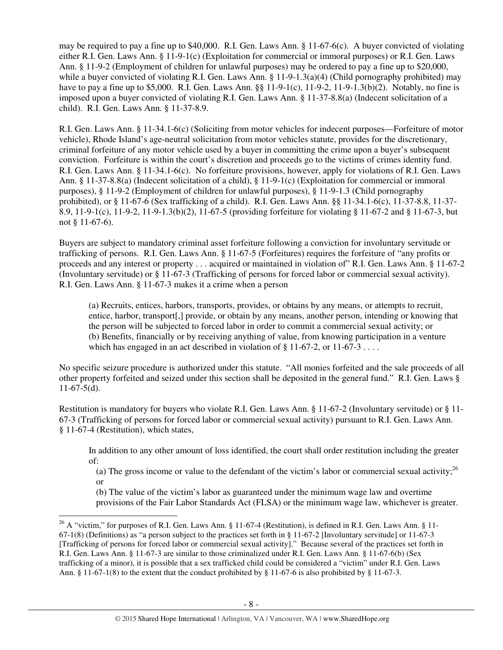may be required to pay a fine up to \$40,000. R.I. Gen. Laws Ann. § 11-67-6(c). A buyer convicted of violating either R.I. Gen. Laws Ann. § 11-9-1(c) (Exploitation for commercial or immoral purposes) or R.I. Gen. Laws Ann. § 11-9-2 (Employment of children for unlawful purposes) may be ordered to pay a fine up to \$20,000, while a buyer convicted of violating R.I. Gen. Laws Ann. § 11-9-1.3(a)(4) (Child pornography prohibited) may have to pay a fine up to \$5,000. R.I. Gen. Laws Ann. §§ 11-9-1(c), 11-9-2, 11-9-1.3(b)(2). Notably, no fine is imposed upon a buyer convicted of violating R.I. Gen. Laws Ann. § 11-37-8.8(a) (Indecent solicitation of a child). R.I. Gen. Laws Ann. § 11-37-8.9.

R.I. Gen. Laws Ann. § 11-34.1-6(c) (Soliciting from motor vehicles for indecent purposes—Forfeiture of motor vehicle), Rhode Island's age-neutral solicitation from motor vehicles statute, provides for the discretionary, criminal forfeiture of any motor vehicle used by a buyer in committing the crime upon a buyer's subsequent conviction. Forfeiture is within the court's discretion and proceeds go to the victims of crimes identity fund. R.I. Gen. Laws Ann. § 11-34.1-6(c). No forfeiture provisions, however, apply for violations of R.I. Gen. Laws Ann. § 11-37-8.8(a) (Indecent solicitation of a child), § 11-9-1(c) (Exploitation for commercial or immoral purposes), § 11-9-2 (Employment of children for unlawful purposes), § 11-9-1.3 (Child pornography prohibited), or § 11-67-6 (Sex trafficking of a child). R.I. Gen. Laws Ann. §§ 11-34.1-6(c), 11-37-8.8, 11-37- 8.9, 11-9-1(c), 11-9-2, 11-9-1.3(b)(2), 11-67-5 (providing forfeiture for violating § 11-67-2 and § 11-67-3, but not § 11-67-6).

Buyers are subject to mandatory criminal asset forfeiture following a conviction for involuntary servitude or trafficking of persons. R.I. Gen. Laws Ann. § 11-67-5 (Forfeitures) requires the forfeiture of "any profits or proceeds and any interest or property . . . acquired or maintained in violation of" R.I. Gen. Laws Ann. § 11-67-2 (Involuntary servitude) or § 11-67-3 (Trafficking of persons for forced labor or commercial sexual activity). R.I. Gen. Laws Ann. § 11-67-3 makes it a crime when a person

(a) Recruits, entices, harbors, transports, provides, or obtains by any means, or attempts to recruit, entice, harbor, transport[,] provide, or obtain by any means, another person, intending or knowing that the person will be subjected to forced labor in order to commit a commercial sexual activity; or (b) Benefits, financially or by receiving anything of value, from knowing participation in a venture which has engaged in an act described in violation of  $\S 11-67-2$ , or  $11-67-3...$ 

No specific seizure procedure is authorized under this statute. "All monies forfeited and the sale proceeds of all other property forfeited and seized under this section shall be deposited in the general fund." R.I. Gen. Laws §  $11-67-5(d)$ .

Restitution is mandatory for buyers who violate R.I. Gen. Laws Ann. § 11-67-2 (Involuntary servitude) or § 11- 67-3 (Trafficking of persons for forced labor or commercial sexual activity) pursuant to R.I. Gen. Laws Ann. § 11-67-4 (Restitution), which states,

In addition to any other amount of loss identified, the court shall order restitution including the greater of:

(a) The gross income or value to the defendant of the victim's labor or commercial sexual activity;<sup>26</sup> or

(b) The value of the victim's labor as guaranteed under the minimum wage law and overtime provisions of the Fair Labor Standards Act (FLSA) or the minimum wage law, whichever is greater.

l

<sup>&</sup>lt;sup>26</sup> A "victim," for purposes of R.I. Gen. Laws Ann. § 11-67-4 (Restitution), is defined in R.I. Gen. Laws Ann. § 11-67-1(8) (Definitions) as "a person subject to the practices set forth in § 11-67-2 [Involuntary servitude] or 11-67-3 [Trafficking of persons for forced labor or commercial sexual activity]." Because several of the practices set forth in R.I. Gen. Laws Ann. § 11-67-3 are similar to those criminalized under R.I. Gen. Laws Ann. § 11-67-6(b) (Sex trafficking of a minor), it is possible that a sex trafficked child could be considered a "victim" under R.I. Gen. Laws Ann. § 11-67-1(8) to the extent that the conduct prohibited by § 11-67-6 is also prohibited by § 11-67-3.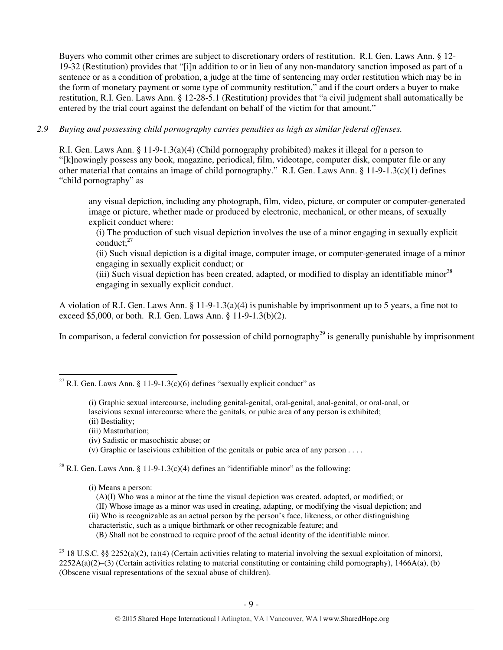Buyers who commit other crimes are subject to discretionary orders of restitution. R.I. Gen. Laws Ann. § 12- 19-32 (Restitution) provides that "[i]n addition to or in lieu of any non-mandatory sanction imposed as part of a sentence or as a condition of probation, a judge at the time of sentencing may order restitution which may be in the form of monetary payment or some type of community restitution," and if the court orders a buyer to make restitution, R.I. Gen. Laws Ann. § 12-28-5.1 (Restitution) provides that "a civil judgment shall automatically be entered by the trial court against the defendant on behalf of the victim for that amount."

#### *2.9 Buying and possessing child pornography carries penalties as high as similar federal offenses.*

R.I. Gen. Laws Ann. § 11-9-1.3(a)(4) (Child pornography prohibited) makes it illegal for a person to "[k]nowingly possess any book, magazine, periodical, film, videotape, computer disk, computer file or any other material that contains an image of child pornography." R.I. Gen. Laws Ann. § 11-9-1.3(c)(1) defines "child pornography" as

any visual depiction, including any photograph, film, video, picture, or computer or computer-generated image or picture, whether made or produced by electronic, mechanical, or other means, of sexually explicit conduct where:

(i) The production of such visual depiction involves the use of a minor engaging in sexually explicit conduct; $27$ 

(ii) Such visual depiction is a digital image, computer image, or computer-generated image of a minor engaging in sexually explicit conduct; or

(iii) Such visual depiction has been created, adapted, or modified to display an identifiable minor<sup>28</sup> engaging in sexually explicit conduct.

A violation of R.I. Gen. Laws Ann. § 11-9-1.3(a)(4) is punishable by imprisonment up to 5 years, a fine not to exceed \$5,000, or both. R.I. Gen. Laws Ann. § 11-9-1.3(b)(2).

In comparison, a federal conviction for possession of child pornography<sup>29</sup> is generally punishable by imprisonment

(ii) Bestiality;

l

- (iii) Masturbation;
- (iv) Sadistic or masochistic abuse; or
- (v) Graphic or lascivious exhibition of the genitals or pubic area of any person . . . .

<sup>28</sup> R.I. Gen. Laws Ann. § 11-9-1.3(c)(4) defines an "identifiable minor" as the following:

- (i) Means a person:
	- (A)(I) Who was a minor at the time the visual depiction was created, adapted, or modified; or
	- (II) Whose image as a minor was used in creating, adapting, or modifying the visual depiction; and
- (ii) Who is recognizable as an actual person by the person's face, likeness, or other distinguishing
- characteristic, such as a unique birthmark or other recognizable feature; and
	- (B) Shall not be construed to require proof of the actual identity of the identifiable minor.

<sup>29</sup> 18 U.S.C. §§ 2252(a)(2), (a)(4) (Certain activities relating to material involving the sexual exploitation of minors),  $2252A(a)(2)$ –(3) (Certain activities relating to material constituting or containing child pornography), 1466A(a), (b) (Obscene visual representations of the sexual abuse of children).

<sup>&</sup>lt;sup>27</sup> R.I. Gen. Laws Ann. § 11-9-1.3(c)(6) defines "sexually explicit conduct" as

<sup>(</sup>i) Graphic sexual intercourse, including genital-genital, oral-genital, anal-genital, or oral-anal, or lascivious sexual intercourse where the genitals, or pubic area of any person is exhibited;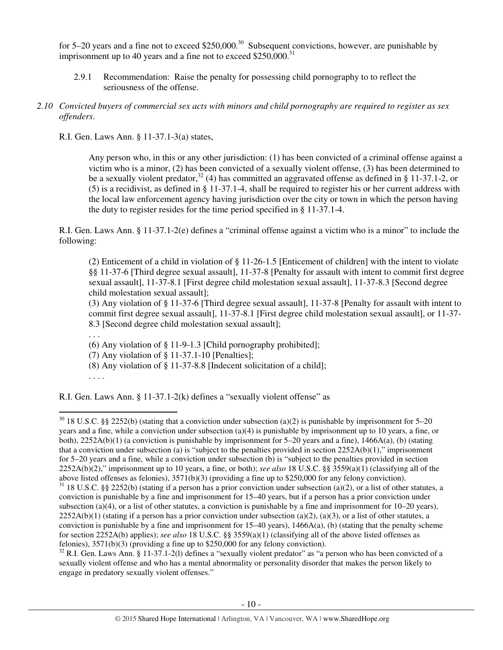for 5–20 years and a fine not to exceed \$250,000.<sup>30</sup> Subsequent convictions, however, are punishable by imprisonment up to 40 years and a fine not to exceed  $$250,000$ .<sup>31</sup>

- 2.9.1 Recommendation: Raise the penalty for possessing child pornography to to reflect the seriousness of the offense.
- *2.10 Convicted buyers of commercial sex acts with minors and child pornography are required to register as sex offenders*.

R.I. Gen. Laws Ann. § 11-37.1-3(a) states,

Any person who, in this or any other jurisdiction: (1) has been convicted of a criminal offense against a victim who is a minor, (2) has been convicted of a sexually violent offense, (3) has been determined to be a sexually violent predator,<sup>32</sup> (4) has committed an aggravated offense as defined in § 11-37.1-2, or (5) is a recidivist, as defined in § 11-37.1-4, shall be required to register his or her current address with the local law enforcement agency having jurisdiction over the city or town in which the person having the duty to register resides for the time period specified in § 11-37.1-4.

R.I. Gen. Laws Ann. § 11-37.1-2(e) defines a "criminal offense against a victim who is a minor" to include the following:

(2) Enticement of a child in violation of § 11-26-1.5 [Enticement of children] with the intent to violate §§ 11-37-6 [Third degree sexual assault], 11-37-8 [Penalty for assault with intent to commit first degree sexual assault], 11-37-8.1 [First degree child molestation sexual assault], 11-37-8.3 [Second degree child molestation sexual assault];

(3) Any violation of § 11-37-6 [Third degree sexual assault], 11-37-8 [Penalty for assault with intent to commit first degree sexual assault], 11-37-8.1 [First degree child molestation sexual assault], or 11-37- 8.3 [Second degree child molestation sexual assault];

. . .

(6) Any violation of § 11-9-1.3 [Child pornography prohibited];

(7) Any violation of § 11-37.1-10 [Penalties];

(8) Any violation of § 11-37-8.8 [Indecent solicitation of a child];

. . . .

 $\overline{a}$ 

R.I. Gen. Laws Ann. § 11-37.1-2(k) defines a "sexually violent offense" as

 $30$  18 U.S.C. §§ 2252(b) (stating that a conviction under subsection (a)(2) is punishable by imprisonment for 5–20 years and a fine, while a conviction under subsection (a)(4) is punishable by imprisonment up to 10 years, a fine, or both), 2252A(b)(1) (a conviction is punishable by imprisonment for 5–20 years and a fine), 1466A(a), (b) (stating that a conviction under subsection (a) is "subject to the penalties provided in section  $2252A(b)(1)$ ," imprisonment for 5–20 years and a fine, while a conviction under subsection (b) is "subject to the penalties provided in section 2252A(b)(2)," imprisonment up to 10 years, a fine, or both); *see also* 18 U.S.C. §§ 3559(a)(1) (classifying all of the above listed offenses as felonies), 3571(b)(3) (providing a fine up to \$250,000 for any felony conviction).

 $31$  18 U.S.C. §§ 2252(b) (stating if a person has a prior conviction under subsection (a)(2), or a list of other statutes, a conviction is punishable by a fine and imprisonment for 15–40 years, but if a person has a prior conviction under subsection (a)(4), or a list of other statutes, a conviction is punishable by a fine and imprisonment for  $10-20$  years),  $2252A(b)(1)$  (stating if a person has a prior conviction under subsection (a)(2), (a)(3), or a list of other statutes, a conviction is punishable by a fine and imprisonment for  $15-40$  years),  $1466A(a)$ , (b) (stating that the penalty scheme for section 2252A(b) applies); *see also* 18 U.S.C. §§ 3559(a)(1) (classifying all of the above listed offenses as felonies),  $3571(b)(3)$  (providing a fine up to \$250,000 for any felony conviction).

 $32$  R.I. Gen. Laws Ann. § 11-37.1-2(1) defines a "sexually violent predator" as "a person who has been convicted of a sexually violent offense and who has a mental abnormality or personality disorder that makes the person likely to engage in predatory sexually violent offenses."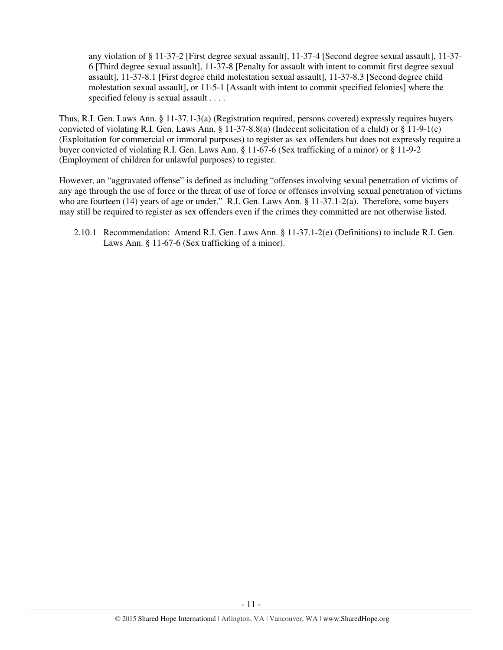any violation of § 11-37-2 [First degree sexual assault], 11-37-4 [Second degree sexual assault], 11-37- 6 [Third degree sexual assault], 11-37-8 [Penalty for assault with intent to commit first degree sexual assault], 11-37-8.1 [First degree child molestation sexual assault], 11-37-8.3 [Second degree child molestation sexual assault], or 11-5-1 [Assault with intent to commit specified felonies] where the specified felony is sexual assault . . . .

Thus, R.I. Gen. Laws Ann. § 11-37.1-3(a) (Registration required, persons covered) expressly requires buyers convicted of violating R.I. Gen. Laws Ann. § 11-37-8.8(a) (Indecent solicitation of a child) or § 11-9-1(c) (Exploitation for commercial or immoral purposes) to register as sex offenders but does not expressly require a buyer convicted of violating R.I. Gen. Laws Ann. § 11-67-6 (Sex trafficking of a minor) or § 11-9-2 (Employment of children for unlawful purposes) to register.

However, an "aggravated offense" is defined as including "offenses involving sexual penetration of victims of any age through the use of force or the threat of use of force or offenses involving sexual penetration of victims who are fourteen (14) years of age or under." R.I. Gen. Laws Ann. § 11-37.1-2(a). Therefore, some buyers may still be required to register as sex offenders even if the crimes they committed are not otherwise listed.

2.10.1 Recommendation: Amend R.I. Gen. Laws Ann. § 11-37.1-2(e) (Definitions) to include R.I. Gen. Laws Ann. § 11-67-6 (Sex trafficking of a minor).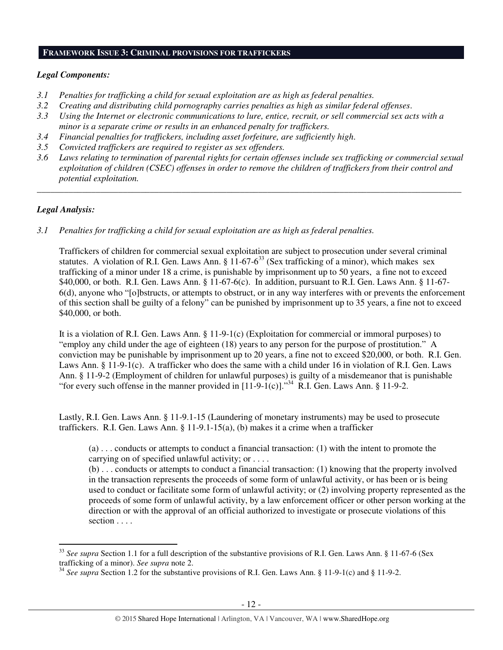#### **FRAMEWORK ISSUE 3: CRIMINAL PROVISIONS FOR TRAFFICKERS**

#### *Legal Components:*

- *3.1 Penalties for trafficking a child for sexual exploitation are as high as federal penalties.*
- *3.2 Creating and distributing child pornography carries penalties as high as similar federal offenses*.
- *3.3 Using the Internet or electronic communications to lure, entice, recruit, or sell commercial sex acts with a minor is a separate crime or results in an enhanced penalty for traffickers.*
- *3.4 Financial penalties for traffickers, including asset forfeiture, are sufficiently high*.
- *3.5 Convicted traffickers are required to register as sex offenders.*
- *3.6 Laws relating to termination of parental rights for certain offenses include sex trafficking or commercial sexual exploitation of children (CSEC) offenses in order to remove the children of traffickers from their control and potential exploitation.*

*\_\_\_\_\_\_\_\_\_\_\_\_\_\_\_\_\_\_\_\_\_\_\_\_\_\_\_\_\_\_\_\_\_\_\_\_\_\_\_\_\_\_\_\_\_\_\_\_\_\_\_\_\_\_\_\_\_\_\_\_\_\_\_\_\_\_\_\_\_\_\_\_\_\_\_\_\_\_\_\_\_\_\_\_\_\_\_\_\_\_\_\_\_\_* 

#### *Legal Analysis:*

 $\overline{a}$ 

*3.1 Penalties for trafficking a child for sexual exploitation are as high as federal penalties.* 

Traffickers of children for commercial sexual exploitation are subject to prosecution under several criminal statutes. A violation of R.I. Gen. Laws Ann. § 11-67-6<sup>33</sup> (Sex trafficking of a minor), which makes sex trafficking of a minor under 18 a crime, is punishable by imprisonment up to 50 years, a fine not to exceed \$40,000, or both. R.I. Gen. Laws Ann. § 11-67-6(c). In addition, pursuant to R.I. Gen. Laws Ann. § 11-67- 6(d), anyone who "[o]bstructs, or attempts to obstruct, or in any way interferes with or prevents the enforcement of this section shall be guilty of a felony" can be punished by imprisonment up to 35 years, a fine not to exceed \$40,000, or both.

It is a violation of R.I. Gen. Laws Ann. § 11-9-1(c) (Exploitation for commercial or immoral purposes) to "employ any child under the age of eighteen (18) years to any person for the purpose of prostitution." A conviction may be punishable by imprisonment up to 20 years, a fine not to exceed \$20,000, or both. R.I. Gen. Laws Ann. § 11-9-1(c). A trafficker who does the same with a child under 16 in violation of R.I. Gen. Laws Ann. § 11-9-2 (Employment of children for unlawful purposes) is guilty of a misdemeanor that is punishable "for every such offense in the manner provided in  $[11-9-1(c)]$ ."<sup>34</sup> R.I. Gen. Laws Ann. § 11-9-2."

Lastly, R.I. Gen. Laws Ann. § 11-9.1-15 (Laundering of monetary instruments) may be used to prosecute traffickers. R.I. Gen. Laws Ann. § 11-9.1-15(a), (b) makes it a crime when a trafficker

(a) . . . conducts or attempts to conduct a financial transaction: (1) with the intent to promote the carrying on of specified unlawful activity; or . . . .

(b) . . . conducts or attempts to conduct a financial transaction: (1) knowing that the property involved in the transaction represents the proceeds of some form of unlawful activity, or has been or is being used to conduct or facilitate some form of unlawful activity; or (2) involving property represented as the proceeds of some form of unlawful activity, by a law enforcement officer or other person working at the direction or with the approval of an official authorized to investigate or prosecute violations of this section . . . .

<sup>33</sup> *See supra* Section 1.1 for a full description of the substantive provisions of R.I. Gen. Laws Ann. § 11-67-6 (Sex trafficking of a minor). *See supra* note 2.

<sup>&</sup>lt;sup>34</sup> See supra Section 1.2 for the substantive provisions of R.I. Gen. Laws Ann. § 11-9-1(c) and § 11-9-2.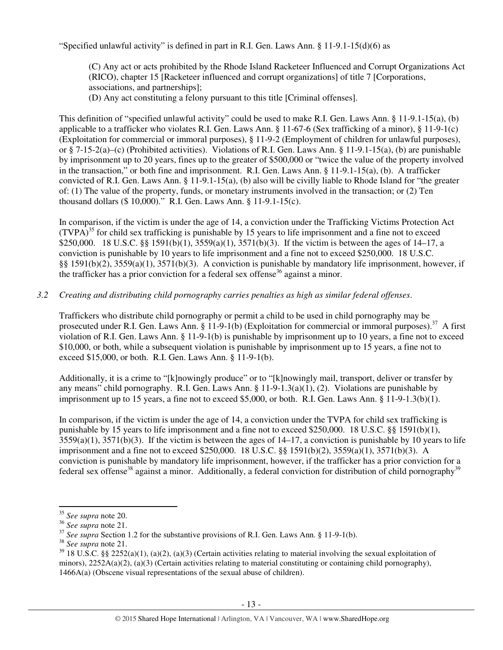"Specified unlawful activity" is defined in part in R.I. Gen. Laws Ann. § 11-9.1-15(d)(6) as

(C) Any act or acts prohibited by the Rhode Island Racketeer Influenced and Corrupt Organizations Act (RICO), chapter 15 [Racketeer influenced and corrupt organizations] of title 7 [Corporations, associations, and partnerships];

(D) Any act constituting a felony pursuant to this title [Criminal offenses].

This definition of "specified unlawful activity" could be used to make R.I. Gen. Laws Ann. § 11-9.1-15(a), (b) applicable to a trafficker who violates R.I. Gen. Laws Ann. § 11-67-6 (Sex trafficking of a minor), § 11-9-1(c) (Exploitation for commercial or immoral purposes), § 11-9-2 (Employment of children for unlawful purposes), or § 7-15-2(a)–(c) (Prohibited activities). Violations of R.I. Gen. Laws Ann. § 11-9.1-15(a), (b) are punishable by imprisonment up to 20 years, fines up to the greater of \$500,000 or "twice the value of the property involved in the transaction," or both fine and imprisonment. R.I. Gen. Laws Ann. § 11-9.1-15(a), (b). A trafficker convicted of R.I. Gen. Laws Ann. § 11-9.1-15(a), (b) also will be civilly liable to Rhode Island for "the greater of: (1) The value of the property, funds, or monetary instruments involved in the transaction; or (2) Ten thousand dollars (\$ 10,000)." R.I. Gen. Laws Ann. § 11-9.1-15(c).

In comparison, if the victim is under the age of 14, a conviction under the Trafficking Victims Protection Act  $(TVPA)^{35}$  for child sex trafficking is punishable by 15 years to life imprisonment and a fine not to exceed \$250,000. 18 U.S.C. §§ 1591(b)(1), 3559(a)(1), 3571(b)(3). If the victim is between the ages of 14–17, a conviction is punishable by 10 years to life imprisonment and a fine not to exceed \$250,000. 18 U.S.C. §§ 1591(b)(2), 3559(a)(1), 3571(b)(3). A conviction is punishable by mandatory life imprisonment, however, if the trafficker has a prior conviction for a federal sex offense<sup>36</sup> against a minor.

## *3.2 Creating and distributing child pornography carries penalties as high as similar federal offenses*.

Traffickers who distribute child pornography or permit a child to be used in child pornography may be prosecuted under R.I. Gen. Laws Ann. § 11-9-1(b) (Exploitation for commercial or immoral purposes).<sup>37</sup> A first violation of R.I. Gen. Laws Ann. § 11-9-1(b) is punishable by imprisonment up to 10 years, a fine not to exceed \$10,000, or both, while a subsequent violation is punishable by imprisonment up to 15 years, a fine not to exceed \$15,000, or both. R.I. Gen. Laws Ann. § 11-9-1(b).

Additionally, it is a crime to "[k]nowingly produce" or to "[k]nowingly mail, transport, deliver or transfer by any means" child pornography. R.I. Gen. Laws Ann. § 11-9-1.3(a)(1), (2). Violations are punishable by imprisonment up to 15 years, a fine not to exceed \$5,000, or both. R.I. Gen. Laws Ann. § 11-9-1.3(b)(1).

In comparison, if the victim is under the age of 14, a conviction under the TVPA for child sex trafficking is punishable by 15 years to life imprisonment and a fine not to exceed \$250,000. 18 U.S.C. §§ 1591(b)(1),  $3559(a)(1)$ ,  $3571(b)(3)$ . If the victim is between the ages of  $14-17$ , a conviction is punishable by 10 years to life imprisonment and a fine not to exceed \$250,000. 18 U.S.C. §§ 1591(b)(2), 3559(a)(1), 3571(b)(3). A conviction is punishable by mandatory life imprisonment, however, if the trafficker has a prior conviction for a federal sex offense<sup>38</sup> against a minor. Additionally, a federal conviction for distribution of child pornography<sup>39</sup>

l

<sup>35</sup> *See supra* note 20.

<sup>36</sup> *See supra* note 21.

<sup>&</sup>lt;sup>37</sup> See supra Section 1.2 for the substantive provisions of R.I. Gen. Laws Ann. § 11-9-1(b).

<sup>38</sup> *See supra* note 21.

 $39$  18 U.S.C. §§ 2252(a)(1), (a)(2), (a)(3) (Certain activities relating to material involving the sexual exploitation of minors),  $2252A(a)(2)$ ,  $(a)(3)$  (Certain activities relating to material constituting or containing child pornography), 1466A(a) (Obscene visual representations of the sexual abuse of children).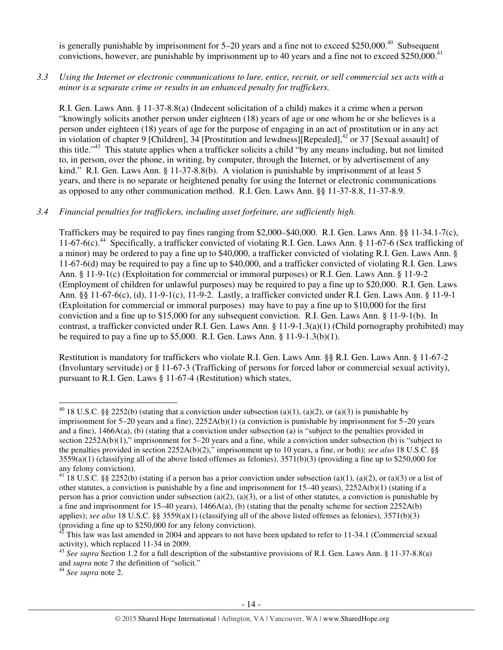is generally punishable by imprisonment for 5–20 years and a fine not to exceed \$250,000.<sup>40</sup> Subsequent convictions, however, are punishable by imprisonment up to 40 years and a fine not to exceed \$250,000.<sup>41</sup>

*3.3 Using the Internet or electronic communications to lure, entice, recruit, or sell commercial sex acts with a minor is a separate crime or results in an enhanced penalty for traffickers.* 

R.I. Gen. Laws Ann. § 11-37-8.8(a) (Indecent solicitation of a child) makes it a crime when a person "knowingly solicits another person under eighteen (18) years of age or one whom he or she believes is a person under eighteen (18) years of age for the purpose of engaging in an act of prostitution or in any act in violation of chapter 9 [Children], 34 [Prostitution and lewdness][Repealed],<sup>42</sup> or 37 [Sexual assault] of this title."<sup>43</sup> This statute applies when a trafficker solicits a child "by any means including, but not limited to, in person, over the phone, in writing, by computer, through the Internet, or by advertisement of any kind." R.I. Gen. Laws Ann. § 11-37-8.8(b). A violation is punishable by imprisonment of at least 5 years, and there is no separate or heightened penalty for using the Internet or electronic communications as opposed to any other communication method. R.I. Gen. Laws Ann. §§ 11-37-8.8, 11-37-8.9.

## *3.4 Financial penalties for traffickers, including asset forfeiture, are sufficiently high*.

Traffickers may be required to pay fines ranging from \$2,000–\$40,000. R.I. Gen. Laws Ann. §§ 11-34.1-7(c), 11-67-6(c).<sup>44</sup> Specifically, a trafficker convicted of violating R.I. Gen. Laws Ann. § 11-67-6 (Sex trafficking of a minor) may be ordered to pay a fine up to \$40,000, a trafficker convicted of violating R.I. Gen. Laws Ann. § 11-67-6(d) may be required to pay a fine up to \$40,000, and a trafficker convicted of violating R.I. Gen. Laws Ann. § 11-9-1(c) (Exploitation for commercial or immoral purposes) or R.I. Gen. Laws Ann. § 11-9-2 (Employment of children for unlawful purposes) may be required to pay a fine up to \$20,000. R.I. Gen. Laws Ann. §§ 11-67-6(c), (d), 11-9-1(c), 11-9-2. Lastly, a trafficker convicted under R.I. Gen. Laws Ann. § 11-9-1 (Exploitation for commercial or immoral purposes) may have to pay a fine up to \$10,000 for the first conviction and a fine up to \$15,000 for any subsequent conviction. R.I. Gen. Laws Ann. § 11-9-1(b). In contrast, a trafficker convicted under R.I. Gen. Laws Ann. § 11-9-1.3(a)(1) (Child pornography prohibited) may be required to pay a fine up to  $$5,000$ . R.I. Gen. Laws Ann. § 11-9-1.3(b)(1).

Restitution is mandatory for traffickers who violate R.I. Gen. Laws Ann. §§ R.I. Gen. Laws Ann. § 11-67-2 (Involuntary servitude) or § 11-67-3 (Trafficking of persons for forced labor or commercial sexual activity), pursuant to R.I. Gen. Laws § 11-67-4 (Restitution) which states,

<sup>44</sup> *See supra* note 2.

 $\overline{a}$ 

<sup>&</sup>lt;sup>40</sup> 18 U.S.C. §§ 2252(b) (stating that a conviction under subsection (a)(1), (a)(2), or (a)(3) is punishable by imprisonment for 5–20 years and a fine), 2252A(b)(1) (a conviction is punishable by imprisonment for 5–20 years and a fine), 1466A(a), (b) (stating that a conviction under subsection (a) is "subject to the penalties provided in section 2252A(b)(1)," imprisonment for 5–20 years and a fine, while a conviction under subsection (b) is "subject to the penalties provided in section 2252A(b)(2)," imprisonment up to 10 years, a fine, or both); *see also* 18 U.S.C. §§  $3559(a)(1)$  (classifying all of the above listed offenses as felonies),  $3571(b)(3)$  (providing a fine up to \$250,000 for any felony conviction).

<sup>&</sup>lt;sup>41</sup> 18 U.S.C. §§ 2252(b) (stating if a person has a prior conviction under subsection (a)(1), (a)(2), or (a)(3) or a list of other statutes, a conviction is punishable by a fine and imprisonment for  $15-40$  years),  $2252A(b)(1)$  (stating if a person has a prior conviction under subsection (a)(2), (a)(3), or a list of other statutes, a conviction is punishable by a fine and imprisonment for 15–40 years),  $1466A(a)$ , (b) (stating that the penalty scheme for section 2252A(b) applies); *see also* 18 U.S.C. §§ 3559(a)(1) (classifying all of the above listed offenses as felonies), 3571(b)(3) (providing a fine up to \$250,000 for any felony conviction).

<sup>42</sup> This law was last amended in 2004 and appears to not have been updated to refer to 11-34.1 (Commercial sexual activity), which replaced 11-34 in 2009.

<sup>43</sup> *See supra* Section 1.2 for a full description of the substantive provisions of R.I. Gen. Laws Ann. § 11-37-8.8(a) and *supra* note 7 the definition of "solicit."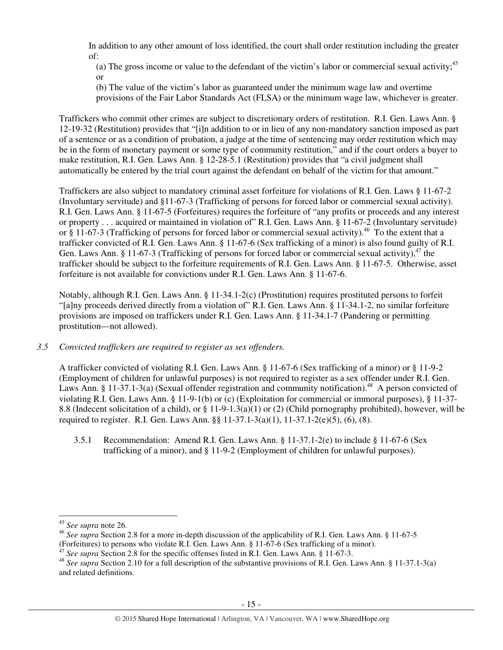In addition to any other amount of loss identified, the court shall order restitution including the greater of:

(a) The gross income or value to the defendant of the victim's labor or commercial sexual activity;<sup>45</sup> or

(b) The value of the victim's labor as guaranteed under the minimum wage law and overtime provisions of the Fair Labor Standards Act (FLSA) or the minimum wage law, whichever is greater.

Traffickers who commit other crimes are subject to discretionary orders of restitution. R.I. Gen. Laws Ann. § 12-19-32 (Restitution) provides that "[i]n addition to or in lieu of any non-mandatory sanction imposed as part of a sentence or as a condition of probation, a judge at the time of sentencing may order restitution which may be in the form of monetary payment or some type of community restitution," and if the court orders a buyer to make restitution, R.I. Gen. Laws Ann. § 12-28-5.1 (Restitution) provides that "a civil judgment shall automatically be entered by the trial court against the defendant on behalf of the victim for that amount."

Traffickers are also subject to mandatory criminal asset forfeiture for violations of R.I. Gen. Laws § 11-67-2 (Involuntary servitude) and §11-67-3 (Trafficking of persons for forced labor or commercial sexual activity). R.I. Gen. Laws Ann. § 11-67-5 (Forfeitures) requires the forfeiture of "any profits or proceeds and any interest or property . . . acquired or maintained in violation of" R.I. Gen. Laws Ann. § 11-67-2 (Involuntary servitude) or § 11-67-3 (Trafficking of persons for forced labor or commercial sexual activity).<sup>46</sup> To the extent that a trafficker convicted of R.I. Gen. Laws Ann. § 11-67-6 (Sex trafficking of a minor) is also found guilty of R.I. Gen. Laws Ann. § 11-67-3 (Trafficking of persons for forced labor or commercial sexual activity), $^{47}$  the trafficker should be subject to the forfeiture requirements of R.I. Gen. Laws Ann. § 11-67-5. Otherwise, asset forfeiture is not available for convictions under R.I. Gen. Laws Ann. § 11-67-6.

Notably, although R.I. Gen. Laws Ann. § 11-34.1-2(c) (Prostitution) requires prostituted persons to forfeit "[a]ny proceeds derived directly from a violation of" R.I. Gen. Laws Ann. § 11-34.1-2, no similar forfeiture provisions are imposed on traffickers under R.I. Gen. Laws Ann. § 11-34.1-7 (Pandering or permitting prostitution—not allowed).

#### *3.5 Convicted traffickers are required to register as sex offenders.*

A trafficker convicted of violating R.I. Gen. Laws Ann. § 11-67-6 (Sex trafficking of a minor) or § 11-9-2 (Employment of children for unlawful purposes) is not required to register as a sex offender under R.I. Gen. Laws Ann. § 11-37.1-3(a) (Sexual offender registration and community notification).<sup>48</sup> A person convicted of violating R.I. Gen. Laws Ann. § 11-9-1(b) or (c) (Exploitation for commercial or immoral purposes), § 11-37- 8.8 (Indecent solicitation of a child), or § 11-9-1.3(a)(1) or (2) (Child pornography prohibited), however, will be required to register. R.I. Gen. Laws Ann. §§ 11-37.1-3(a)(1), 11-37.1-2(e)(5), (6), (8).

3.5.1 Recommendation: Amend R.I. Gen. Laws Ann. § 11-37.1-2(e) to include § 11-67-6 (Sex trafficking of a minor), and § 11-9-2 (Employment of children for unlawful purposes).

 $\overline{a}$ 

<sup>45</sup> *See supra* note 26.

<sup>&</sup>lt;sup>46</sup> See supra Section 2.8 for a more in-depth discussion of the applicability of R.I. Gen. Laws Ann. § 11-67-5 (Forfeitures) to persons who violate R.I. Gen. Laws Ann. § 11-67-6 (Sex trafficking of a minor).

<sup>&</sup>lt;sup>47</sup> See supra Section 2.8 for the specific offenses listed in R.I. Gen. Laws Ann. § 11-67-3.

<sup>48</sup> *See supra* Section 2.10 for a full description of the substantive provisions of R.I. Gen. Laws Ann. § 11-37.1-3(a) and related definitions.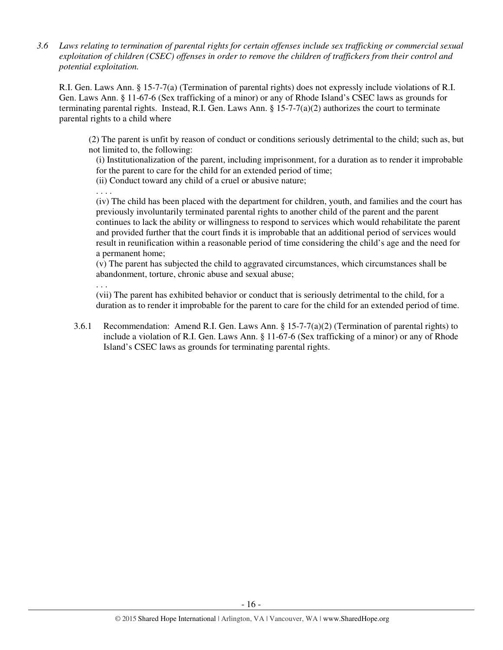*3.6 Laws relating to termination of parental rights for certain offenses include sex trafficking or commercial sexual exploitation of children (CSEC) offenses in order to remove the children of traffickers from their control and potential exploitation.* 

R.I. Gen. Laws Ann. § 15-7-7(a) (Termination of parental rights) does not expressly include violations of R.I. Gen. Laws Ann. § 11-67-6 (Sex trafficking of a minor) or any of Rhode Island's CSEC laws as grounds for terminating parental rights. Instead, R.I. Gen. Laws Ann.  $\S 15$ -7-7(a)(2) authorizes the court to terminate parental rights to a child where

(2) The parent is unfit by reason of conduct or conditions seriously detrimental to the child; such as, but not limited to, the following:

(i) Institutionalization of the parent, including imprisonment, for a duration as to render it improbable for the parent to care for the child for an extended period of time;

(ii) Conduct toward any child of a cruel or abusive nature;

. . . .

(iv) The child has been placed with the department for children, youth, and families and the court has previously involuntarily terminated parental rights to another child of the parent and the parent continues to lack the ability or willingness to respond to services which would rehabilitate the parent and provided further that the court finds it is improbable that an additional period of services would result in reunification within a reasonable period of time considering the child's age and the need for a permanent home;

(v) The parent has subjected the child to aggravated circumstances, which circumstances shall be abandonment, torture, chronic abuse and sexual abuse;

. . .

(vii) The parent has exhibited behavior or conduct that is seriously detrimental to the child, for a duration as to render it improbable for the parent to care for the child for an extended period of time.

3.6.1 Recommendation: Amend R.I. Gen. Laws Ann. § 15-7-7(a)(2) (Termination of parental rights) to include a violation of R.I. Gen. Laws Ann. § 11-67-6 (Sex trafficking of a minor) or any of Rhode Island's CSEC laws as grounds for terminating parental rights.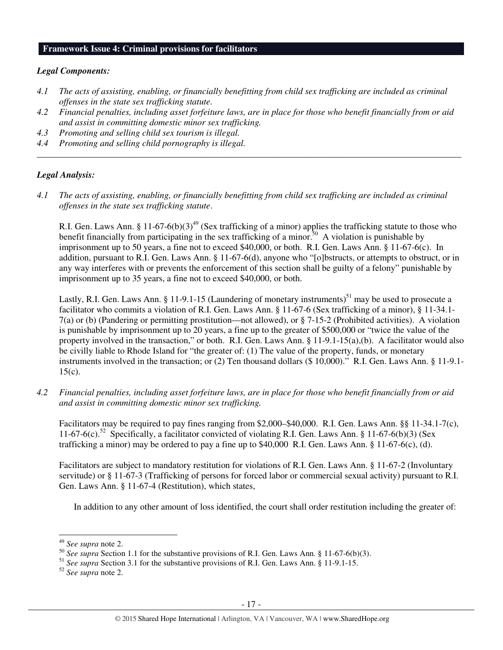#### **Framework Issue 4: Criminal provisions for facilitators**

#### *Legal Components:*

- *4.1 The acts of assisting, enabling, or financially benefitting from child sex trafficking are included as criminal offenses in the state sex trafficking statute.*
- *4.2 Financial penalties, including asset forfeiture laws, are in place for those who benefit financially from or aid and assist in committing domestic minor sex trafficking.*

*\_\_\_\_\_\_\_\_\_\_\_\_\_\_\_\_\_\_\_\_\_\_\_\_\_\_\_\_\_\_\_\_\_\_\_\_\_\_\_\_\_\_\_\_\_\_\_\_\_\_\_\_\_\_\_\_\_\_\_\_\_\_\_\_\_\_\_\_\_\_\_\_\_\_\_\_\_\_\_\_\_\_\_\_\_\_\_\_\_\_\_\_\_\_* 

- *4.3 Promoting and selling child sex tourism is illegal.*
- *4.4 Promoting and selling child pornography is illegal.*

#### *Legal Analysis:*

*4.1 The acts of assisting, enabling, or financially benefitting from child sex trafficking are included as criminal offenses in the state sex trafficking statute*.

R.I. Gen. Laws Ann. § 11-67-6(b)(3)<sup>49</sup> (Sex trafficking of a minor) applies the trafficking statute to those who benefit financially from participating in the sex trafficking of a minor.<sup>50</sup> A violation is punishable by imprisonment up to 50 years, a fine not to exceed \$40,000, or both. R.I. Gen. Laws Ann. § 11-67-6(c). In addition, pursuant to R.I. Gen. Laws Ann. § 11-67-6(d), anyone who "[o]bstructs, or attempts to obstruct, or in any way interferes with or prevents the enforcement of this section shall be guilty of a felony" punishable by imprisonment up to 35 years, a fine not to exceed \$40,000, or both.

Lastly, R.I. Gen. Laws Ann. § 11-9.1-15 (Laundering of monetary instruments)<sup>51</sup> may be used to prosecute a facilitator who commits a violation of R.I. Gen. Laws Ann. § 11-67-6 (Sex trafficking of a minor), § 11-34.1- 7(a) or (b) (Pandering or permitting prostitution—not allowed), or § 7-15-2 (Prohibited activities). A violation is punishable by imprisonment up to 20 years, a fine up to the greater of \$500,000 or "twice the value of the property involved in the transaction," or both. R.I. Gen. Laws Ann. §  $11-9.1-15(a)$ ,(b). A facilitator would also be civilly liable to Rhode Island for "the greater of: (1) The value of the property, funds, or monetary instruments involved in the transaction; or (2) Ten thousand dollars (\$ 10,000)." R.I. Gen. Laws Ann. § 11-9.1- 15(c).

*4.2 Financial penalties, including asset forfeiture laws, are in place for those who benefit financially from or aid and assist in committing domestic minor sex trafficking.* 

Facilitators may be required to pay fines ranging from \$2,000–\$40,000. R.I. Gen. Laws Ann. §§ 11-34.1-7(c), 11-67-6(c).<sup>52</sup> Specifically, a facilitator convicted of violating R.I. Gen. Laws Ann. § 11-67-6(b)(3) (Sex trafficking a minor) may be ordered to pay a fine up to \$40,000 R.I. Gen. Laws Ann. § 11-67-6(c), (d).

Facilitators are subject to mandatory restitution for violations of R.I. Gen. Laws Ann. § 11-67-2 (Involuntary servitude) or § 11-67-3 (Trafficking of persons for forced labor or commercial sexual activity) pursuant to R.I. Gen. Laws Ann. § 11-67-4 (Restitution), which states,

In addition to any other amount of loss identified, the court shall order restitution including the greater of:

 $\overline{a}$ 

<sup>52</sup> *See supra* note 2.

<sup>49</sup> *See supra* note 2.

<sup>&</sup>lt;sup>50</sup> See supra Section 1.1 for the substantive provisions of R.I. Gen. Laws Ann. § 11-67-6(b)(3).

<sup>51</sup> *See supra* Section 3.1 for the substantive provisions of R.I. Gen. Laws Ann. § 11-9.1-15.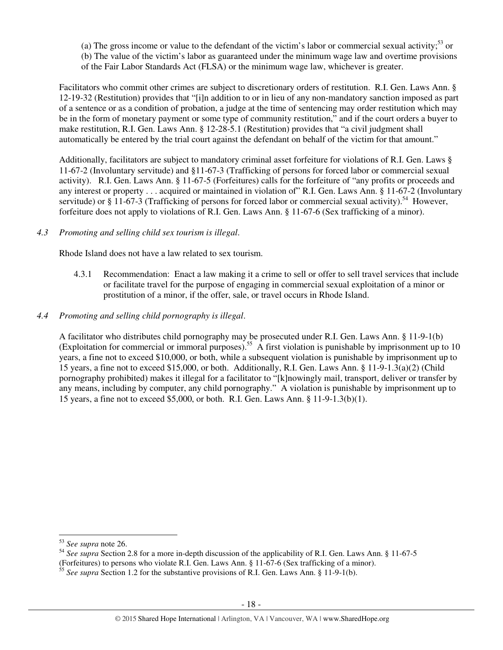(a) The gross income or value to the defendant of the victim's labor or commercial sexual activity;<sup>53</sup> or (b) The value of the victim's labor as guaranteed under the minimum wage law and overtime provisions of the Fair Labor Standards Act (FLSA) or the minimum wage law, whichever is greater.

Facilitators who commit other crimes are subject to discretionary orders of restitution. R.I. Gen. Laws Ann. § 12-19-32 (Restitution) provides that "[i]n addition to or in lieu of any non-mandatory sanction imposed as part of a sentence or as a condition of probation, a judge at the time of sentencing may order restitution which may be in the form of monetary payment or some type of community restitution," and if the court orders a buyer to make restitution, R.I. Gen. Laws Ann. § 12-28-5.1 (Restitution) provides that "a civil judgment shall automatically be entered by the trial court against the defendant on behalf of the victim for that amount."

Additionally, facilitators are subject to mandatory criminal asset forfeiture for violations of R.I. Gen. Laws § 11-67-2 (Involuntary servitude) and §11-67-3 (Trafficking of persons for forced labor or commercial sexual activity). R.I. Gen. Laws Ann. § 11-67-5 (Forfeitures) calls for the forfeiture of "any profits or proceeds and any interest or property . . . acquired or maintained in violation of" R.I. Gen. Laws Ann. § 11-67-2 (Involuntary servitude) or  $\S$  11-67-3 (Trafficking of persons for forced labor or commercial sexual activity).<sup>54</sup> However, forfeiture does not apply to violations of R.I. Gen. Laws Ann. § 11-67-6 (Sex trafficking of a minor).

## *4.3 Promoting and selling child sex tourism is illegal*.

Rhode Island does not have a law related to sex tourism.

4.3.1 Recommendation: Enact a law making it a crime to sell or offer to sell travel services that include or facilitate travel for the purpose of engaging in commercial sexual exploitation of a minor or prostitution of a minor, if the offer, sale, or travel occurs in Rhode Island.

## *4.4 Promoting and selling child pornography is illegal*.

A facilitator who distributes child pornography may be prosecuted under R.I. Gen. Laws Ann. § 11-9-1(b) (Exploitation for commercial or immoral purposes).<sup>55</sup> A first violation is punishable by imprisonment up to 10 years, a fine not to exceed \$10,000, or both, while a subsequent violation is punishable by imprisonment up to 15 years, a fine not to exceed \$15,000, or both. Additionally, R.I. Gen. Laws Ann. § 11-9-1.3(a)(2) (Child pornography prohibited) makes it illegal for a facilitator to "[k]nowingly mail, transport, deliver or transfer by any means, including by computer, any child pornography." A violation is punishable by imprisonment up to 15 years, a fine not to exceed \$5,000, or both. R.I. Gen. Laws Ann. § 11-9-1.3(b)(1).

l

<sup>53</sup> *See supra* note 26.

<sup>54</sup> *See supra* Section 2.8 for a more in-depth discussion of the applicability of R.I. Gen. Laws Ann. § 11-67-5 (Forfeitures) to persons who violate R.I. Gen. Laws Ann. § 11-67-6 (Sex trafficking of a minor).

<sup>55</sup> *See supra* Section 1.2 for the substantive provisions of R.I. Gen. Laws Ann. § 11-9-1(b).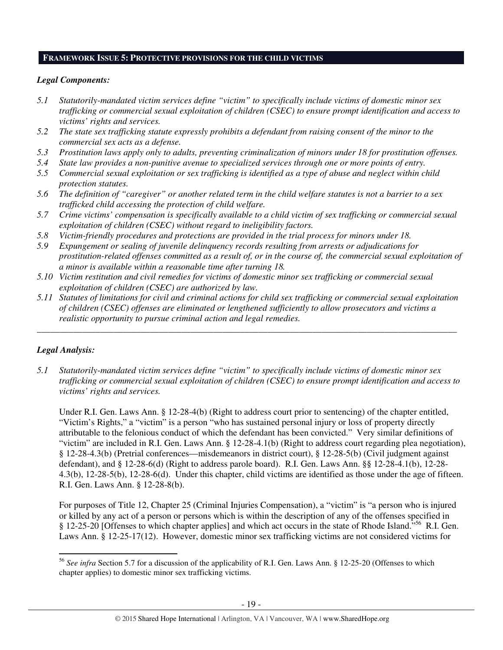#### **FRAMEWORK ISSUE 5: PROTECTIVE PROVISIONS FOR THE CHILD VICTIMS**

#### *Legal Components:*

- *5.1 Statutorily-mandated victim services define "victim" to specifically include victims of domestic minor sex trafficking or commercial sexual exploitation of children (CSEC) to ensure prompt identification and access to victims' rights and services.*
- *5.2 The state sex trafficking statute expressly prohibits a defendant from raising consent of the minor to the commercial sex acts as a defense.*
- *5.3 Prostitution laws apply only to adults, preventing criminalization of minors under 18 for prostitution offenses.*
- *5.4 State law provides a non-punitive avenue to specialized services through one or more points of entry.*
- *5.5 Commercial sexual exploitation or sex trafficking is identified as a type of abuse and neglect within child protection statutes.*
- *5.6 The definition of "caregiver" or another related term in the child welfare statutes is not a barrier to a sex trafficked child accessing the protection of child welfare.*
- *5.7 Crime victims' compensation is specifically available to a child victim of sex trafficking or commercial sexual exploitation of children (CSEC) without regard to ineligibility factors.*
- *5.8 Victim-friendly procedures and protections are provided in the trial process for minors under 18.*
- *5.9 Expungement or sealing of juvenile delinquency records resulting from arrests or adjudications for prostitution-related offenses committed as a result of, or in the course of, the commercial sexual exploitation of a minor is available within a reasonable time after turning 18.*
- *5.10 Victim restitution and civil remedies for victims of domestic minor sex trafficking or commercial sexual exploitation of children (CSEC) are authorized by law.*
- *5.11 Statutes of limitations for civil and criminal actions for child sex trafficking or commercial sexual exploitation of children (CSEC) offenses are eliminated or lengthened sufficiently to allow prosecutors and victims a realistic opportunity to pursue criminal action and legal remedies.*

*\_\_\_\_\_\_\_\_\_\_\_\_\_\_\_\_\_\_\_\_\_\_\_\_\_\_\_\_\_\_\_\_\_\_\_\_\_\_\_\_\_\_\_\_\_\_\_\_\_\_\_\_\_\_\_\_\_\_\_\_\_\_\_\_\_\_\_\_\_\_\_\_\_\_\_\_\_\_\_\_\_\_\_\_\_\_\_\_\_\_\_\_\_* 

# *Legal Analysis:*

l

*5.1 Statutorily-mandated victim services define "victim" to specifically include victims of domestic minor sex trafficking or commercial sexual exploitation of children (CSEC) to ensure prompt identification and access to victims' rights and services.* 

Under R.I. Gen. Laws Ann. § 12-28-4(b) (Right to address court prior to sentencing) of the chapter entitled, "Victim's Rights," a "victim" is a person "who has sustained personal injury or loss of property directly attributable to the felonious conduct of which the defendant has been convicted." Very similar definitions of "victim" are included in R.I. Gen. Laws Ann. § 12-28-4.1(b) (Right to address court regarding plea negotiation), § 12-28-4.3(b) (Pretrial conferences—misdemeanors in district court), § 12-28-5(b) (Civil judgment against defendant), and § 12-28-6(d) (Right to address parole board). R.I. Gen. Laws Ann. §§ 12-28-4.1(b), 12-28- 4.3(b), 12-28-5(b), 12-28-6(d). Under this chapter, child victims are identified as those under the age of fifteen. R.I. Gen. Laws Ann. § 12-28-8(b).

For purposes of Title 12, Chapter 25 (Criminal Injuries Compensation), a "victim" is "a person who is injured or killed by any act of a person or persons which is within the description of any of the offenses specified in § 12-25-20 [Offenses to which chapter applies] and which act occurs in the state of Rhode Island.<sup>556</sup> R.I. Gen. Laws Ann. § 12-25-17(12). However, domestic minor sex trafficking victims are not considered victims for

<sup>56</sup> *See infra* Section 5.7 for a discussion of the applicability of R.I. Gen. Laws Ann. § 12-25-20 (Offenses to which chapter applies) to domestic minor sex trafficking victims.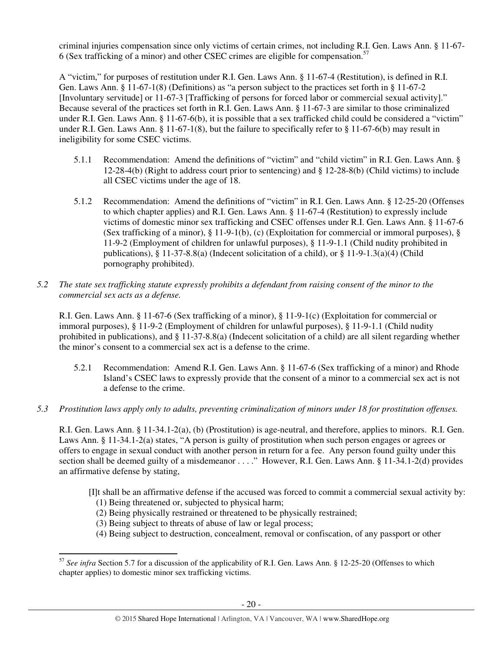criminal injuries compensation since only victims of certain crimes, not including R.I. Gen. Laws Ann. § 11-67- 6 (Sex trafficking of a minor) and other CSEC crimes are eligible for compensation.<sup>57</sup>

A "victim," for purposes of restitution under R.I. Gen. Laws Ann. § 11-67-4 (Restitution), is defined in R.I. Gen. Laws Ann. § 11-67-1(8) (Definitions) as "a person subject to the practices set forth in § 11-67-2 [Involuntary servitude] or 11-67-3 [Trafficking of persons for forced labor or commercial sexual activity]." Because several of the practices set forth in R.I. Gen. Laws Ann. § 11-67-3 are similar to those criminalized under R.I. Gen. Laws Ann. § 11-67-6(b), it is possible that a sex trafficked child could be considered a "victim" under R.I. Gen. Laws Ann. § 11-67-1(8), but the failure to specifically refer to § 11-67-6(b) may result in ineligibility for some CSEC victims.

- 5.1.1 Recommendation: Amend the definitions of "victim" and "child victim" in R.I. Gen. Laws Ann. § 12-28-4(b) (Right to address court prior to sentencing) and § 12-28-8(b) (Child victims) to include all CSEC victims under the age of 18.
- 5.1.2 Recommendation: Amend the definitions of "victim" in R.I. Gen. Laws Ann. § 12-25-20 (Offenses to which chapter applies) and R.I. Gen. Laws Ann. § 11-67-4 (Restitution) to expressly include victims of domestic minor sex trafficking and CSEC offenses under R.I. Gen. Laws Ann. § 11-67-6 (Sex trafficking of a minor), § 11-9-1(b), (c) (Exploitation for commercial or immoral purposes), § 11-9-2 (Employment of children for unlawful purposes), § 11-9-1.1 (Child nudity prohibited in publications), § 11-37-8.8(a) (Indecent solicitation of a child), or § 11-9-1.3(a)(4) (Child pornography prohibited).
- *5.2 The state sex trafficking statute expressly prohibits a defendant from raising consent of the minor to the commercial sex acts as a defense.*

R.I. Gen. Laws Ann. § 11-67-6 (Sex trafficking of a minor), § 11-9-1(c) (Exploitation for commercial or immoral purposes), § 11-9-2 (Employment of children for unlawful purposes), § 11-9-1.1 (Child nudity prohibited in publications), and § 11-37-8.8(a) (Indecent solicitation of a child) are all silent regarding whether the minor's consent to a commercial sex act is a defense to the crime.

- 5.2.1 Recommendation: Amend R.I. Gen. Laws Ann. § 11-67-6 (Sex trafficking of a minor) and Rhode Island's CSEC laws to expressly provide that the consent of a minor to a commercial sex act is not a defense to the crime.
- *5.3 Prostitution laws apply only to adults, preventing criminalization of minors under 18 for prostitution offenses.*

R.I. Gen. Laws Ann. § 11-34.1-2(a), (b) (Prostitution) is age-neutral, and therefore, applies to minors. R.I. Gen. Laws Ann. § 11-34.1-2(a) states, "A person is guilty of prostitution when such person engages or agrees or offers to engage in sexual conduct with another person in return for a fee. Any person found guilty under this section shall be deemed guilty of a misdemeanor . . . ." However, R.I. Gen. Laws Ann. § 11-34.1-2(d) provides an affirmative defense by stating,

[I]t shall be an affirmative defense if the accused was forced to commit a commercial sexual activity by:

(1) Being threatened or, subjected to physical harm;

 $\overline{a}$ 

- (2) Being physically restrained or threatened to be physically restrained;
- (3) Being subject to threats of abuse of law or legal process;
- (4) Being subject to destruction, concealment, removal or confiscation, of any passport or other

<sup>&</sup>lt;sup>57</sup> See infra Section 5.7 for a discussion of the applicability of R.I. Gen. Laws Ann. § 12-25-20 (Offenses to which chapter applies) to domestic minor sex trafficking victims.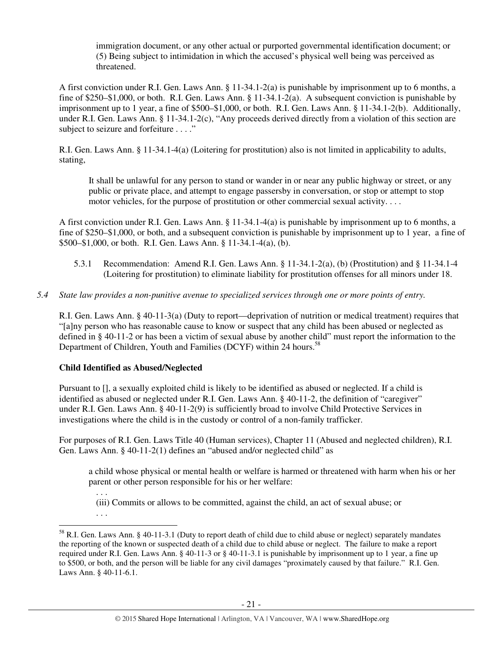immigration document, or any other actual or purported governmental identification document; or (5) Being subject to intimidation in which the accused's physical well being was perceived as threatened.

A first conviction under R.I. Gen. Laws Ann. § 11-34.1-2(a) is punishable by imprisonment up to 6 months, a fine of \$250–\$1,000, or both. R.I. Gen. Laws Ann. § 11-34.1-2(a). A subsequent conviction is punishable by imprisonment up to 1 year, a fine of \$500–\$1,000, or both. R.I. Gen. Laws Ann. § 11-34.1-2(b). Additionally, under R.I. Gen. Laws Ann. § 11-34.1-2(c), "Any proceeds derived directly from a violation of this section are subject to seizure and forfeiture . . . ."

R.I. Gen. Laws Ann. § 11-34.1-4(a) (Loitering for prostitution) also is not limited in applicability to adults, stating,

It shall be unlawful for any person to stand or wander in or near any public highway or street, or any public or private place, and attempt to engage passersby in conversation, or stop or attempt to stop motor vehicles, for the purpose of prostitution or other commercial sexual activity. . . .

A first conviction under R.I. Gen. Laws Ann. § 11-34.1-4(a) is punishable by imprisonment up to 6 months, a fine of \$250–\$1,000, or both, and a subsequent conviction is punishable by imprisonment up to 1 year, a fine of \$500–\$1,000, or both. R.I. Gen. Laws Ann. § 11-34.1-4(a), (b).

- 5.3.1 Recommendation: Amend R.I. Gen. Laws Ann. § 11-34.1-2(a), (b) (Prostitution) and § 11-34.1-4 (Loitering for prostitution) to eliminate liability for prostitution offenses for all minors under 18.
- *5.4 State law provides a non-punitive avenue to specialized services through one or more points of entry.*

R.I. Gen. Laws Ann. § 40-11-3(a) (Duty to report—deprivation of nutrition or medical treatment) requires that "[a]ny person who has reasonable cause to know or suspect that any child has been abused or neglected as defined in § 40-11-2 or has been a victim of sexual abuse by another child" must report the information to the Department of Children, Youth and Families (DCYF) within 24 hours.<sup>58</sup>

# **Child Identified as Abused/Neglected**

. . .

l

Pursuant to [], a sexually exploited child is likely to be identified as abused or neglected. If a child is identified as abused or neglected under R.I. Gen. Laws Ann. § 40-11-2, the definition of "caregiver" under R.I. Gen. Laws Ann. § 40-11-2(9) is sufficiently broad to involve Child Protective Services in investigations where the child is in the custody or control of a non-family trafficker.

For purposes of R.I. Gen. Laws Title 40 (Human services), Chapter 11 (Abused and neglected children), R.I. Gen. Laws Ann. § 40-11-2(1) defines an "abused and/or neglected child" as

a child whose physical or mental health or welfare is harmed or threatened with harm when his or her parent or other person responsible for his or her welfare:

. . . (iii) Commits or allows to be committed, against the child, an act of sexual abuse; or

<sup>58</sup> R.I. Gen. Laws Ann. § 40-11-3.1 (Duty to report death of child due to child abuse or neglect) separately mandates the reporting of the known or suspected death of a child due to child abuse or neglect. The failure to make a report required under R.I. Gen. Laws Ann. § 40-11-3 or § 40-11-3.1 is punishable by imprisonment up to 1 year, a fine up to \$500, or both, and the person will be liable for any civil damages "proximately caused by that failure." R.I. Gen. Laws Ann. § 40-11-6.1.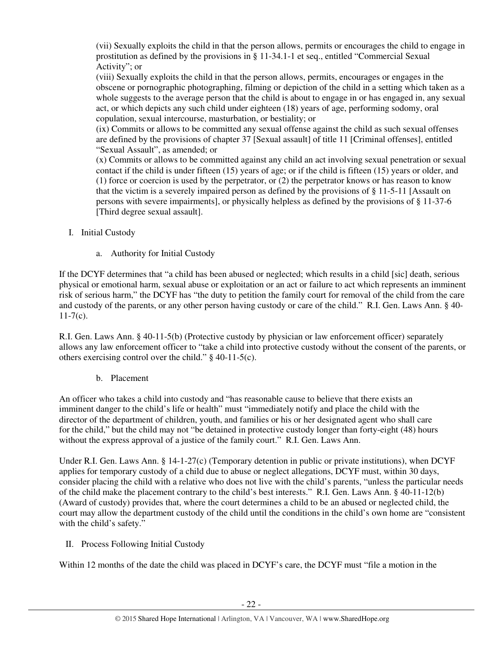(vii) Sexually exploits the child in that the person allows, permits or encourages the child to engage in prostitution as defined by the provisions in § 11-34.1-1 et seq., entitled "Commercial Sexual Activity"; or

(viii) Sexually exploits the child in that the person allows, permits, encourages or engages in the obscene or pornographic photographing, filming or depiction of the child in a setting which taken as a whole suggests to the average person that the child is about to engage in or has engaged in, any sexual act, or which depicts any such child under eighteen (18) years of age, performing sodomy, oral copulation, sexual intercourse, masturbation, or bestiality; or

(ix) Commits or allows to be committed any sexual offense against the child as such sexual offenses are defined by the provisions of chapter 37 [Sexual assault] of title 11 [Criminal offenses], entitled "Sexual Assault", as amended; or

(x) Commits or allows to be committed against any child an act involving sexual penetration or sexual contact if the child is under fifteen (15) years of age; or if the child is fifteen (15) years or older, and (1) force or coercion is used by the perpetrator, or (2) the perpetrator knows or has reason to know that the victim is a severely impaired person as defined by the provisions of § 11-5-11 [Assault on persons with severe impairments], or physically helpless as defined by the provisions of § 11-37-6 [Third degree sexual assault].

- I. Initial Custody
	- a. Authority for Initial Custody

If the DCYF determines that "a child has been abused or neglected; which results in a child [sic] death, serious physical or emotional harm, sexual abuse or exploitation or an act or failure to act which represents an imminent risk of serious harm," the DCYF has "the duty to petition the family court for removal of the child from the care and custody of the parents, or any other person having custody or care of the child." R.I. Gen. Laws Ann. § 40-  $11-7(c)$ .

R.I. Gen. Laws Ann. § 40-11-5(b) (Protective custody by physician or law enforcement officer) separately allows any law enforcement officer to "take a child into protective custody without the consent of the parents, or others exercising control over the child." § 40-11-5(c).

# b. Placement

An officer who takes a child into custody and "has reasonable cause to believe that there exists an imminent danger to the child's life or health" must "immediately notify and place the child with the director of the department of children, youth, and families or his or her designated agent who shall care for the child," but the child may not "be detained in protective custody longer than forty-eight (48) hours without the express approval of a justice of the family court." R.I. Gen. Laws Ann.

Under R.I. Gen. Laws Ann. § 14-1-27(c) (Temporary detention in public or private institutions), when DCYF applies for temporary custody of a child due to abuse or neglect allegations, DCYF must, within 30 days, consider placing the child with a relative who does not live with the child's parents, "unless the particular needs of the child make the placement contrary to the child's best interests." R.I. Gen. Laws Ann. § 40-11-12(b) (Award of custody) provides that, where the court determines a child to be an abused or neglected child, the court may allow the department custody of the child until the conditions in the child's own home are "consistent with the child's safety."

II. Process Following Initial Custody

Within 12 months of the date the child was placed in DCYF's care, the DCYF must "file a motion in the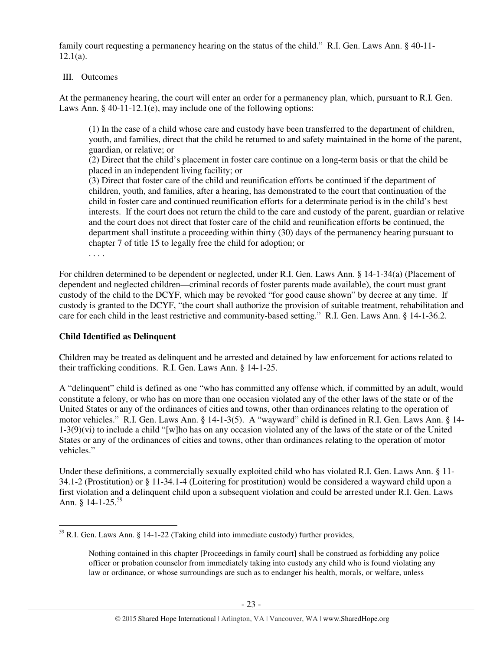family court requesting a permanency hearing on the status of the child." R.I. Gen. Laws Ann. § 40-11- 12.1(a).

## III. Outcomes

At the permanency hearing, the court will enter an order for a permanency plan, which, pursuant to R.I. Gen. Laws Ann. § 40-11-12.1(e), may include one of the following options:

(1) In the case of a child whose care and custody have been transferred to the department of children, youth, and families, direct that the child be returned to and safety maintained in the home of the parent, guardian, or relative; or

(2) Direct that the child's placement in foster care continue on a long-term basis or that the child be placed in an independent living facility; or

(3) Direct that foster care of the child and reunification efforts be continued if the department of children, youth, and families, after a hearing, has demonstrated to the court that continuation of the child in foster care and continued reunification efforts for a determinate period is in the child's best interests. If the court does not return the child to the care and custody of the parent, guardian or relative and the court does not direct that foster care of the child and reunification efforts be continued, the department shall institute a proceeding within thirty (30) days of the permanency hearing pursuant to chapter 7 of title 15 to legally free the child for adoption; or

. . . .

 $\overline{a}$ 

For children determined to be dependent or neglected, under R.I. Gen. Laws Ann. § 14-1-34(a) (Placement of dependent and neglected children—criminal records of foster parents made available), the court must grant custody of the child to the DCYF, which may be revoked "for good cause shown" by decree at any time. If custody is granted to the DCYF, "the court shall authorize the provision of suitable treatment, rehabilitation and care for each child in the least restrictive and community-based setting." R.I. Gen. Laws Ann. § 14-1-36.2.

# **Child Identified as Delinquent**

Children may be treated as delinquent and be arrested and detained by law enforcement for actions related to their trafficking conditions. R.I. Gen. Laws Ann. § 14-1-25.

A "delinquent" child is defined as one "who has committed any offense which, if committed by an adult, would constitute a felony, or who has on more than one occasion violated any of the other laws of the state or of the United States or any of the ordinances of cities and towns, other than ordinances relating to the operation of motor vehicles." R.I. Gen. Laws Ann. § 14-1-3(5). A "wayward" child is defined in R.I. Gen. Laws Ann. § 14- 1-3(9)(vi) to include a child "[w]ho has on any occasion violated any of the laws of the state or of the United States or any of the ordinances of cities and towns, other than ordinances relating to the operation of motor vehicles."

Under these definitions, a commercially sexually exploited child who has violated R.I. Gen. Laws Ann. § 11- 34.1-2 (Prostitution) or § 11-34.1-4 (Loitering for prostitution) would be considered a wayward child upon a first violation and a delinquent child upon a subsequent violation and could be arrested under R.I. Gen. Laws Ann.  $8$  14-1-25.<sup>59</sup>

<sup>59</sup> R.I. Gen. Laws Ann. § 14-1-22 (Taking child into immediate custody) further provides,

Nothing contained in this chapter [Proceedings in family court] shall be construed as forbidding any police officer or probation counselor from immediately taking into custody any child who is found violating any law or ordinance, or whose surroundings are such as to endanger his health, morals, or welfare, unless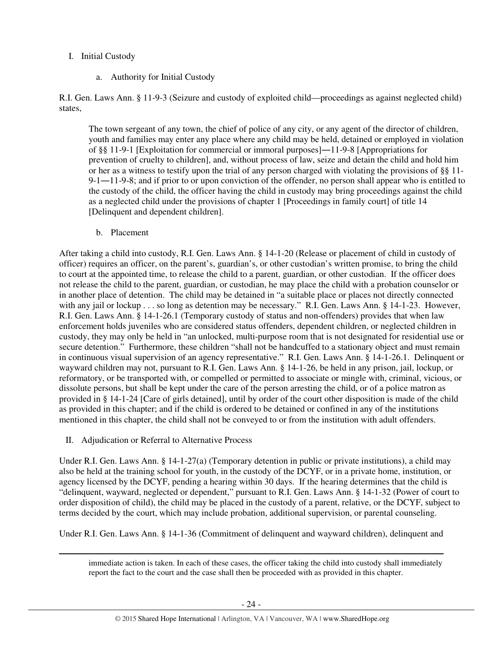# I. Initial Custody

a. Authority for Initial Custody

R.I. Gen. Laws Ann. § 11-9-3 (Seizure and custody of exploited child—proceedings as against neglected child) states,

The town sergeant of any town, the chief of police of any city, or any agent of the director of children, youth and families may enter any place where any child may be held, detained or employed in violation of §§ 11-9-1 [Exploitation for commercial or immoral purposes]―11-9-8 [Appropriations for prevention of cruelty to children], and, without process of law, seize and detain the child and hold him or her as a witness to testify upon the trial of any person charged with violating the provisions of §§ 11- 9-1―11-9-8; and if prior to or upon conviction of the offender, no person shall appear who is entitled to the custody of the child, the officer having the child in custody may bring proceedings against the child as a neglected child under the provisions of chapter 1 [Proceedings in family court] of title 14 [Delinquent and dependent children].

b. Placement

After taking a child into custody, R.I. Gen. Laws Ann. § 14-1-20 (Release or placement of child in custody of officer) requires an officer, on the parent's, guardian's, or other custodian's written promise, to bring the child to court at the appointed time, to release the child to a parent, guardian, or other custodian. If the officer does not release the child to the parent, guardian, or custodian, he may place the child with a probation counselor or in another place of detention. The child may be detained in "a suitable place or places not directly connected with any jail or lockup . . . so long as detention may be necessary." R.I. Gen. Laws Ann. § 14-1-23. However, R.I. Gen. Laws Ann. § 14-1-26.1 (Temporary custody of status and non-offenders) provides that when law enforcement holds juveniles who are considered status offenders, dependent children, or neglected children in custody, they may only be held in "an unlocked, multi-purpose room that is not designated for residential use or secure detention." Furthermore, these children "shall not be handcuffed to a stationary object and must remain in continuous visual supervision of an agency representative." R.I. Gen. Laws Ann. § 14-1-26.1. Delinquent or wayward children may not, pursuant to R.I. Gen. Laws Ann. § 14-1-26, be held in any prison, jail, lockup, or reformatory, or be transported with, or compelled or permitted to associate or mingle with, criminal, vicious, or dissolute persons, but shall be kept under the care of the person arresting the child, or of a police matron as provided in § 14-1-24 [Care of girls detained], until by order of the court other disposition is made of the child as provided in this chapter; and if the child is ordered to be detained or confined in any of the institutions mentioned in this chapter, the child shall not be conveyed to or from the institution with adult offenders.

II. Adjudication or Referral to Alternative Process

 $\overline{a}$ 

Under R.I. Gen. Laws Ann. § 14-1-27(a) (Temporary detention in public or private institutions), a child may also be held at the training school for youth, in the custody of the DCYF, or in a private home, institution, or agency licensed by the DCYF, pending a hearing within 30 days. If the hearing determines that the child is "delinquent, wayward, neglected or dependent," pursuant to R.I. Gen. Laws Ann. § 14-1-32 (Power of court to order disposition of child), the child may be placed in the custody of a parent, relative, or the DCYF, subject to terms decided by the court, which may include probation, additional supervision, or parental counseling.

Under R.I. Gen. Laws Ann. § 14-1-36 (Commitment of delinquent and wayward children), delinquent and

immediate action is taken. In each of these cases, the officer taking the child into custody shall immediately report the fact to the court and the case shall then be proceeded with as provided in this chapter.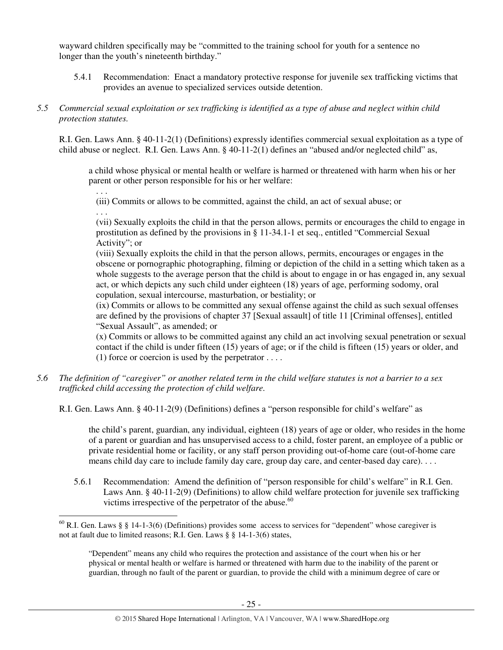wayward children specifically may be "committed to the training school for youth for a sentence no longer than the youth's nineteenth birthday."

5.4.1 Recommendation: Enact a mandatory protective response for juvenile sex trafficking victims that provides an avenue to specialized services outside detention.

## *5.5 Commercial sexual exploitation or sex trafficking is identified as a type of abuse and neglect within child protection statutes.*

R.I. Gen. Laws Ann. § 40-11-2(1) (Definitions) expressly identifies commercial sexual exploitation as a type of child abuse or neglect. R.I. Gen. Laws Ann. § 40-11-2(1) defines an "abused and/or neglected child" as,

a child whose physical or mental health or welfare is harmed or threatened with harm when his or her parent or other person responsible for his or her welfare:

. . .

(iii) Commits or allows to be committed, against the child, an act of sexual abuse; or

. . .

l

(vii) Sexually exploits the child in that the person allows, permits or encourages the child to engage in prostitution as defined by the provisions in § 11-34.1-1 et seq., entitled "Commercial Sexual Activity"; or

(viii) Sexually exploits the child in that the person allows, permits, encourages or engages in the obscene or pornographic photographing, filming or depiction of the child in a setting which taken as a whole suggests to the average person that the child is about to engage in or has engaged in, any sexual act, or which depicts any such child under eighteen (18) years of age, performing sodomy, oral copulation, sexual intercourse, masturbation, or bestiality; or

(ix) Commits or allows to be committed any sexual offense against the child as such sexual offenses are defined by the provisions of chapter 37 [Sexual assault] of title 11 [Criminal offenses], entitled "Sexual Assault", as amended; or

(x) Commits or allows to be committed against any child an act involving sexual penetration or sexual contact if the child is under fifteen (15) years of age; or if the child is fifteen (15) years or older, and (1) force or coercion is used by the perpetrator  $\dots$ .

*5.6 The definition of "caregiver" or another related term in the child welfare statutes is not a barrier to a sex trafficked child accessing the protection of child welfare.* 

R.I. Gen. Laws Ann. § 40-11-2(9) (Definitions) defines a "person responsible for child's welfare" as

the child's parent, guardian, any individual, eighteen (18) years of age or older, who resides in the home of a parent or guardian and has unsupervised access to a child, foster parent, an employee of a public or private residential home or facility, or any staff person providing out-of-home care (out-of-home care means child day care to include family day care, group day care, and center-based day care). . . .

5.6.1 Recommendation: Amend the definition of "person responsible for child's welfare" in R.I. Gen. Laws Ann. § 40-11-2(9) (Definitions) to allow child welfare protection for juvenile sex trafficking victims irrespective of the perpetrator of the abuse. $60$ 

 $60$  R.I. Gen. Laws § § 14-1-3(6) (Definitions) provides some access to services for "dependent" whose caregiver is not at fault due to limited reasons; R.I. Gen. Laws § § 14-1-3(6) states,

<sup>&</sup>quot;Dependent" means any child who requires the protection and assistance of the court when his or her physical or mental health or welfare is harmed or threatened with harm due to the inability of the parent or guardian, through no fault of the parent or guardian, to provide the child with a minimum degree of care or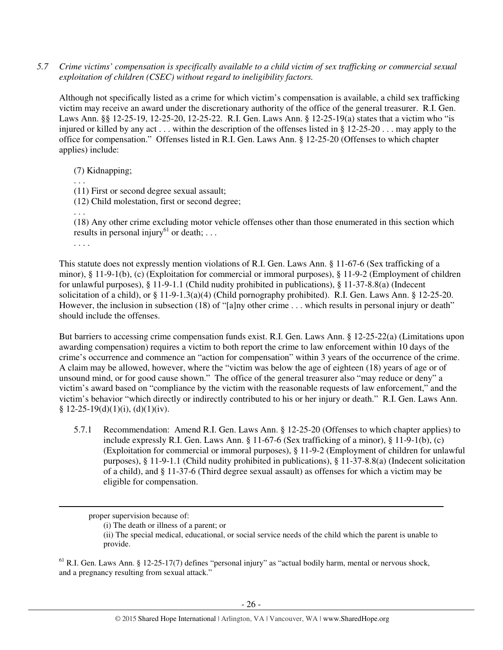*5.7 Crime victims' compensation is specifically available to a child victim of sex trafficking or commercial sexual exploitation of children (CSEC) without regard to ineligibility factors.* 

Although not specifically listed as a crime for which victim's compensation is available, a child sex trafficking victim may receive an award under the discretionary authority of the office of the general treasurer. R.I. Gen. Laws Ann. §§ 12-25-19, 12-25-20, 12-25-22. R.I. Gen. Laws Ann. § 12-25-19(a) states that a victim who "is injured or killed by any act . . . within the description of the offenses listed in § 12-25-20 . . . may apply to the office for compensation." Offenses listed in R.I. Gen. Laws Ann. § 12-25-20 (Offenses to which chapter applies) include:

(7) Kidnapping;

. . .

(11) First or second degree sexual assault;

(12) Child molestation, first or second degree;

. . .

(18) Any other crime excluding motor vehicle offenses other than those enumerated in this section which results in personal injury<sup>61</sup> or death; ...

. . . .

 $\overline{a}$ 

This statute does not expressly mention violations of R.I. Gen. Laws Ann. § 11-67-6 (Sex trafficking of a minor), § 11-9-1(b), (c) (Exploitation for commercial or immoral purposes), § 11-9-2 (Employment of children for unlawful purposes), § 11-9-1.1 (Child nudity prohibited in publications), § 11-37-8.8(a) (Indecent solicitation of a child), or § 11-9-1.3(a)(4) (Child pornography prohibited). R.I. Gen. Laws Ann. § 12-25-20. However, the inclusion in subsection (18) of "[a]ny other crime . . . which results in personal injury or death" should include the offenses.

But barriers to accessing crime compensation funds exist. R.I. Gen. Laws Ann. § 12-25-22(a) (Limitations upon awarding compensation) requires a victim to both report the crime to law enforcement within 10 days of the crime's occurrence and commence an "action for compensation" within 3 years of the occurrence of the crime. A claim may be allowed, however, where the "victim was below the age of eighteen (18) years of age or of unsound mind, or for good cause shown." The office of the general treasurer also "may reduce or deny" a victim's award based on "compliance by the victim with the reasonable requests of law enforcement," and the victim's behavior "which directly or indirectly contributed to his or her injury or death." R.I. Gen. Laws Ann. §  $12-25-19(d)(1)(i)$ , (d)(1)(iv).

5.7.1 Recommendation: Amend R.I. Gen. Laws Ann. § 12-25-20 (Offenses to which chapter applies) to include expressly R.I. Gen. Laws Ann. § 11-67-6 (Sex trafficking of a minor), § 11-9-1(b), (c) (Exploitation for commercial or immoral purposes), § 11-9-2 (Employment of children for unlawful purposes), § 11-9-1.1 (Child nudity prohibited in publications), § 11-37-8.8(a) (Indecent solicitation of a child), and § 11-37-6 (Third degree sexual assault) as offenses for which a victim may be eligible for compensation.

 $<sup>61</sup>$  R.I. Gen. Laws Ann. § 12-25-17(7) defines "personal injury" as "actual bodily harm, mental or nervous shock,</sup> and a pregnancy resulting from sexual attack."

proper supervision because of:

<sup>(</sup>i) The death or illness of a parent; or

<sup>(</sup>ii) The special medical, educational, or social service needs of the child which the parent is unable to provide.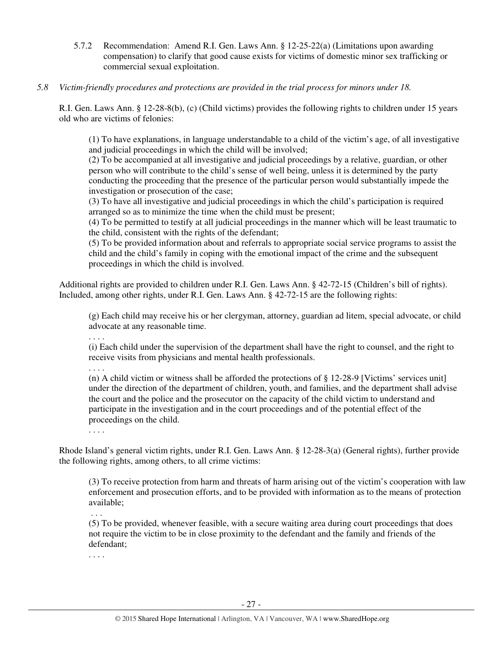- 5.7.2 Recommendation: Amend R.I. Gen. Laws Ann. § 12-25-22(a) (Limitations upon awarding compensation) to clarify that good cause exists for victims of domestic minor sex trafficking or commercial sexual exploitation.
- *5.8 Victim-friendly procedures and protections are provided in the trial process for minors under 18.*

R.I. Gen. Laws Ann. § 12-28-8(b), (c) (Child victims) provides the following rights to children under 15 years old who are victims of felonies:

(1) To have explanations, in language understandable to a child of the victim's age, of all investigative and judicial proceedings in which the child will be involved;

(2) To be accompanied at all investigative and judicial proceedings by a relative, guardian, or other person who will contribute to the child's sense of well being, unless it is determined by the party conducting the proceeding that the presence of the particular person would substantially impede the investigation or prosecution of the case;

(3) To have all investigative and judicial proceedings in which the child's participation is required arranged so as to minimize the time when the child must be present;

(4) To be permitted to testify at all judicial proceedings in the manner which will be least traumatic to the child, consistent with the rights of the defendant;

(5) To be provided information about and referrals to appropriate social service programs to assist the child and the child's family in coping with the emotional impact of the crime and the subsequent proceedings in which the child is involved.

Additional rights are provided to children under R.I. Gen. Laws Ann. § 42-72-15 (Children's bill of rights). Included, among other rights, under R.I. Gen. Laws Ann. § 42-72-15 are the following rights:

(g) Each child may receive his or her clergyman, attorney, guardian ad litem, special advocate, or child advocate at any reasonable time.

. . . .

(i) Each child under the supervision of the department shall have the right to counsel, and the right to receive visits from physicians and mental health professionals.

. . . .

(n) A child victim or witness shall be afforded the protections of § 12-28-9 [Victims' services unit] under the direction of the department of children, youth, and families, and the department shall advise the court and the police and the prosecutor on the capacity of the child victim to understand and participate in the investigation and in the court proceedings and of the potential effect of the proceedings on the child.

. . . .

Rhode Island's general victim rights, under R.I. Gen. Laws Ann. § 12-28-3(a) (General rights), further provide the following rights, among others, to all crime victims:

(3) To receive protection from harm and threats of harm arising out of the victim's cooperation with law enforcement and prosecution efforts, and to be provided with information as to the means of protection available;

. . .

(5) To be provided, whenever feasible, with a secure waiting area during court proceedings that does not require the victim to be in close proximity to the defendant and the family and friends of the defendant;

. . . .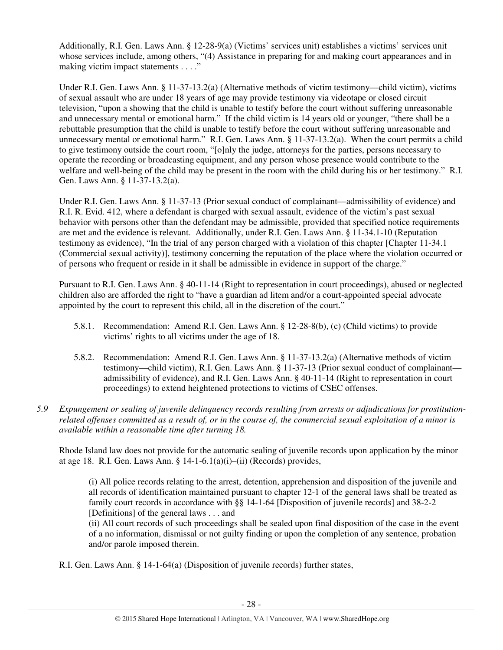Additionally, R.I. Gen. Laws Ann. § 12-28-9(a) (Victims' services unit) establishes a victims' services unit whose services include, among others, "(4) Assistance in preparing for and making court appearances and in making victim impact statements . . . ."

Under R.I. Gen. Laws Ann. § 11-37-13.2(a) (Alternative methods of victim testimony—child victim), victims of sexual assault who are under 18 years of age may provide testimony via videotape or closed circuit television, "upon a showing that the child is unable to testify before the court without suffering unreasonable and unnecessary mental or emotional harm." If the child victim is 14 years old or younger, "there shall be a rebuttable presumption that the child is unable to testify before the court without suffering unreasonable and unnecessary mental or emotional harm." R.I. Gen. Laws Ann. § 11-37-13.2(a). When the court permits a child to give testimony outside the court room, "[o]nly the judge, attorneys for the parties, persons necessary to operate the recording or broadcasting equipment, and any person whose presence would contribute to the welfare and well-being of the child may be present in the room with the child during his or her testimony." R.I. Gen. Laws Ann. § 11-37-13.2(a).

Under R.I. Gen. Laws Ann. § 11-37-13 (Prior sexual conduct of complainant—admissibility of evidence) and R.I. R. Evid. 412, where a defendant is charged with sexual assault, evidence of the victim's past sexual behavior with persons other than the defendant may be admissible, provided that specified notice requirements are met and the evidence is relevant. Additionally, under R.I. Gen. Laws Ann. § 11-34.1-10 (Reputation testimony as evidence), "In the trial of any person charged with a violation of this chapter [Chapter 11-34.1 (Commercial sexual activity)], testimony concerning the reputation of the place where the violation occurred or of persons who frequent or reside in it shall be admissible in evidence in support of the charge."

Pursuant to R.I. Gen. Laws Ann. § 40-11-14 (Right to representation in court proceedings), abused or neglected children also are afforded the right to "have a guardian ad litem and/or a court-appointed special advocate appointed by the court to represent this child, all in the discretion of the court."

- 5.8.1. Recommendation: Amend R.I. Gen. Laws Ann. § 12-28-8(b), (c) (Child victims) to provide victims' rights to all victims under the age of 18.
- 5.8.2. Recommendation: Amend R.I. Gen. Laws Ann. § 11-37-13.2(a) (Alternative methods of victim testimony—child victim), R.I. Gen. Laws Ann. § 11-37-13 (Prior sexual conduct of complainant admissibility of evidence), and R.I. Gen. Laws Ann. § 40-11-14 (Right to representation in court proceedings) to extend heightened protections to victims of CSEC offenses.
- *5.9 Expungement or sealing of juvenile delinquency records resulting from arrests or adjudications for prostitutionrelated offenses committed as a result of, or in the course of, the commercial sexual exploitation of a minor is available within a reasonable time after turning 18.*

Rhode Island law does not provide for the automatic sealing of juvenile records upon application by the minor at age 18. R.I. Gen. Laws Ann. § 14-1-6.1(a)(i)–(ii) (Records) provides,

(i) All police records relating to the arrest, detention, apprehension and disposition of the juvenile and all records of identification maintained pursuant to chapter 12-1 of the general laws shall be treated as family court records in accordance with §§ 14-1-64 [Disposition of juvenile records] and 38-2-2 [Definitions] of the general laws . . . and

(ii) All court records of such proceedings shall be sealed upon final disposition of the case in the event of a no information, dismissal or not guilty finding or upon the completion of any sentence, probation and/or parole imposed therein.

R.I. Gen. Laws Ann. § 14-1-64(a) (Disposition of juvenile records) further states,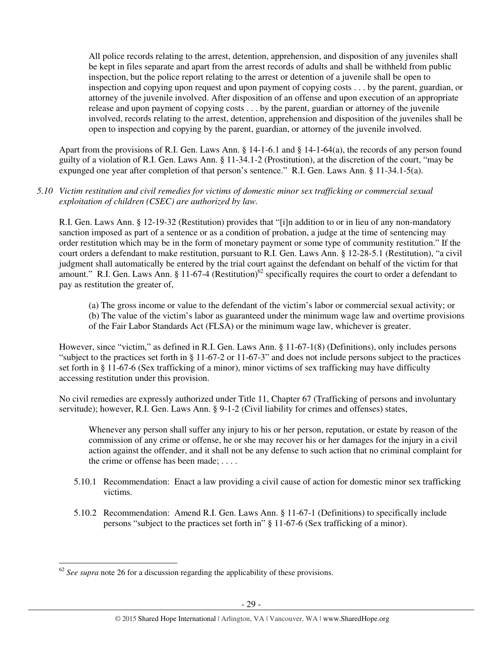All police records relating to the arrest, detention, apprehension, and disposition of any juveniles shall be kept in files separate and apart from the arrest records of adults and shall be withheld from public inspection, but the police report relating to the arrest or detention of a juvenile shall be open to inspection and copying upon request and upon payment of copying costs . . . by the parent, guardian, or attorney of the juvenile involved. After disposition of an offense and upon execution of an appropriate release and upon payment of copying costs . . . by the parent, guardian or attorney of the juvenile involved, records relating to the arrest, detention, apprehension and disposition of the juveniles shall be open to inspection and copying by the parent, guardian, or attorney of the juvenile involved.

Apart from the provisions of R.I. Gen. Laws Ann. § 14-1-6.1 and § 14-1-64(a), the records of any person found guilty of a violation of R.I. Gen. Laws Ann. § 11-34.1-2 (Prostitution), at the discretion of the court, "may be expunged one year after completion of that person's sentence." R.I. Gen. Laws Ann. § 11-34.1-5(a).

## *5.10 Victim restitution and civil remedies for victims of domestic minor sex trafficking or commercial sexual exploitation of children (CSEC) are authorized by law.*

R.I. Gen. Laws Ann. § 12-19-32 (Restitution) provides that "[i]n addition to or in lieu of any non-mandatory sanction imposed as part of a sentence or as a condition of probation, a judge at the time of sentencing may order restitution which may be in the form of monetary payment or some type of community restitution." If the court orders a defendant to make restitution, pursuant to R.I. Gen. Laws Ann. § 12-28-5.1 (Restitution), "a civil judgment shall automatically be entered by the trial court against the defendant on behalf of the victim for that amount." R.I. Gen. Laws Ann. § 11-67-4 (Restitution)<sup>62</sup> specifically requires the court to order a defendant to pay as restitution the greater of,

(a) The gross income or value to the defendant of the victim's labor or commercial sexual activity; or (b) The value of the victim's labor as guaranteed under the minimum wage law and overtime provisions of the Fair Labor Standards Act (FLSA) or the minimum wage law, whichever is greater.

However, since "victim," as defined in R.I. Gen. Laws Ann. § 11-67-1(8) (Definitions), only includes persons "subject to the practices set forth in § 11-67-2 or 11-67-3" and does not include persons subject to the practices set forth in § 11-67-6 (Sex trafficking of a minor), minor victims of sex trafficking may have difficulty accessing restitution under this provision.

No civil remedies are expressly authorized under Title 11, Chapter 67 (Trafficking of persons and involuntary servitude); however, R.I. Gen. Laws Ann. § 9-1-2 (Civil liability for crimes and offenses) states,

Whenever any person shall suffer any injury to his or her person, reputation, or estate by reason of the commission of any crime or offense, he or she may recover his or her damages for the injury in a civil action against the offender, and it shall not be any defense to such action that no criminal complaint for the crime or offense has been made; . . . .

- 5.10.1 Recommendation: Enact a law providing a civil cause of action for domestic minor sex trafficking victims.
- 5.10.2 Recommendation: Amend R.I. Gen. Laws Ann. § 11-67-1 (Definitions) to specifically include persons "subject to the practices set forth in" § 11-67-6 (Sex trafficking of a minor).

l

<sup>&</sup>lt;sup>62</sup> See supra note 26 for a discussion regarding the applicability of these provisions.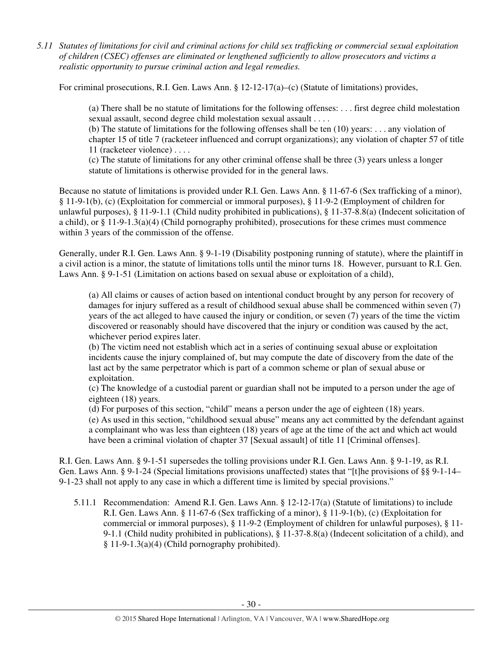*5.11 Statutes of limitations for civil and criminal actions for child sex trafficking or commercial sexual exploitation of children (CSEC) offenses are eliminated or lengthened sufficiently to allow prosecutors and victims a realistic opportunity to pursue criminal action and legal remedies.* 

For criminal prosecutions, R.I. Gen. Laws Ann.  $\S 12-12-17(a)$ –(c) (Statute of limitations) provides,

(a) There shall be no statute of limitations for the following offenses: . . . first degree child molestation sexual assault, second degree child molestation sexual assault . . . .

(b) The statute of limitations for the following offenses shall be ten (10) years: . . . any violation of chapter 15 of title 7 (racketeer influenced and corrupt organizations); any violation of chapter 57 of title 11 (racketeer violence) . . . .

(c) The statute of limitations for any other criminal offense shall be three (3) years unless a longer statute of limitations is otherwise provided for in the general laws.

Because no statute of limitations is provided under R.I. Gen. Laws Ann. § 11-67-6 (Sex trafficking of a minor), § 11-9-1(b), (c) (Exploitation for commercial or immoral purposes), § 11-9-2 (Employment of children for unlawful purposes), § 11-9-1.1 (Child nudity prohibited in publications), § 11-37-8.8(a) (Indecent solicitation of a child), or  $\S 11-9-1.3(a)(4)$  (Child pornography prohibited), prosecutions for these crimes must commence within 3 years of the commission of the offense.

Generally, under R.I. Gen. Laws Ann. § 9-1-19 (Disability postponing running of statute), where the plaintiff in a civil action is a minor, the statute of limitations tolls until the minor turns 18. However, pursuant to R.I. Gen. Laws Ann. § 9-1-51 (Limitation on actions based on sexual abuse or exploitation of a child),

(a) All claims or causes of action based on intentional conduct brought by any person for recovery of damages for injury suffered as a result of childhood sexual abuse shall be commenced within seven (7) years of the act alleged to have caused the injury or condition, or seven (7) years of the time the victim discovered or reasonably should have discovered that the injury or condition was caused by the act, whichever period expires later.

(b) The victim need not establish which act in a series of continuing sexual abuse or exploitation incidents cause the injury complained of, but may compute the date of discovery from the date of the last act by the same perpetrator which is part of a common scheme or plan of sexual abuse or exploitation.

(c) The knowledge of a custodial parent or guardian shall not be imputed to a person under the age of eighteen (18) years.

(d) For purposes of this section, "child" means a person under the age of eighteen (18) years.

(e) As used in this section, "childhood sexual abuse" means any act committed by the defendant against a complainant who was less than eighteen (18) years of age at the time of the act and which act would have been a criminal violation of chapter 37 [Sexual assault] of title 11 [Criminal offenses].

R.I. Gen. Laws Ann. § 9-1-51 supersedes the tolling provisions under R.I. Gen. Laws Ann. § 9-1-19, as R.I. Gen. Laws Ann. § 9-1-24 (Special limitations provisions unaffected) states that "[t]he provisions of §§ 9-1-14– 9-1-23 shall not apply to any case in which a different time is limited by special provisions."

5.11.1 Recommendation: Amend R.I. Gen. Laws Ann. § 12-12-17(a) (Statute of limitations) to include R.I. Gen. Laws Ann. § 11-67-6 (Sex trafficking of a minor), § 11-9-1(b), (c) (Exploitation for commercial or immoral purposes), § 11-9-2 (Employment of children for unlawful purposes), § 11- 9-1.1 (Child nudity prohibited in publications), § 11-37-8.8(a) (Indecent solicitation of a child), and § 11-9-1.3(a)(4) (Child pornography prohibited).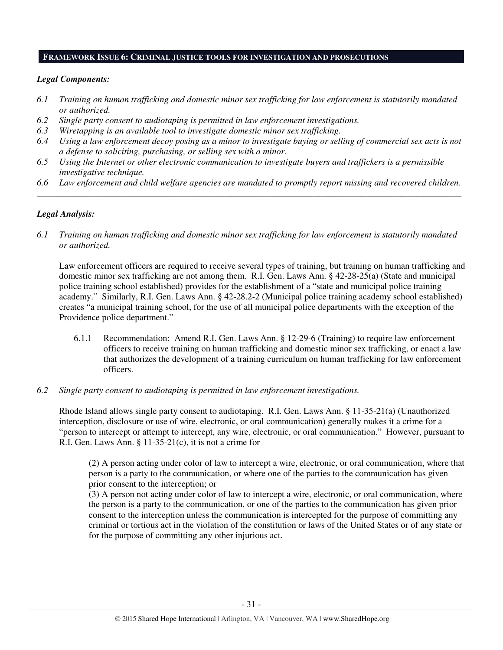#### **FRAMEWORK ISSUE 6: CRIMINAL JUSTICE TOOLS FOR INVESTIGATION AND PROSECUTIONS**

#### *Legal Components:*

- *6.1 Training on human trafficking and domestic minor sex trafficking for law enforcement is statutorily mandated or authorized.*
- *6.2 Single party consent to audiotaping is permitted in law enforcement investigations.*
- *6.3 Wiretapping is an available tool to investigate domestic minor sex trafficking.*
- *6.4 Using a law enforcement decoy posing as a minor to investigate buying or selling of commercial sex acts is not a defense to soliciting, purchasing, or selling sex with a minor.*
- *6.5 Using the Internet or other electronic communication to investigate buyers and traffickers is a permissible investigative technique.*
- *6.6 Law enforcement and child welfare agencies are mandated to promptly report missing and recovered children. \_\_\_\_\_\_\_\_\_\_\_\_\_\_\_\_\_\_\_\_\_\_\_\_\_\_\_\_\_\_\_\_\_\_\_\_\_\_\_\_\_\_\_\_\_\_\_\_\_\_\_\_\_\_\_\_\_\_\_\_\_\_\_\_\_\_\_\_\_\_\_\_\_\_\_\_\_\_\_\_\_\_\_\_\_\_\_\_\_\_\_\_\_\_*

#### *Legal Analysis:*

*6.1 Training on human trafficking and domestic minor sex trafficking for law enforcement is statutorily mandated or authorized.*

Law enforcement officers are required to receive several types of training, but training on human trafficking and domestic minor sex trafficking are not among them. R.I. Gen. Laws Ann. § 42-28-25(a) (State and municipal police training school established) provides for the establishment of a "state and municipal police training academy." Similarly, R.I. Gen. Laws Ann. § 42-28.2-2 (Municipal police training academy school established) creates "a municipal training school, for the use of all municipal police departments with the exception of the Providence police department."

- 6.1.1 Recommendation: Amend R.I. Gen. Laws Ann. § 12-29-6 (Training) to require law enforcement officers to receive training on human trafficking and domestic minor sex trafficking, or enact a law that authorizes the development of a training curriculum on human trafficking for law enforcement officers.
- *6.2 Single party consent to audiotaping is permitted in law enforcement investigations.*

Rhode Island allows single party consent to audiotaping. R.I. Gen. Laws Ann. § 11-35-21(a) (Unauthorized interception, disclosure or use of wire, electronic, or oral communication) generally makes it a crime for a "person to intercept or attempt to intercept, any wire, electronic, or oral communication." However, pursuant to R.I. Gen. Laws Ann.  $\S 11-35-21(c)$ , it is not a crime for

(2) A person acting under color of law to intercept a wire, electronic, or oral communication, where that person is a party to the communication, or where one of the parties to the communication has given prior consent to the interception; or

(3) A person not acting under color of law to intercept a wire, electronic, or oral communication, where the person is a party to the communication, or one of the parties to the communication has given prior consent to the interception unless the communication is intercepted for the purpose of committing any criminal or tortious act in the violation of the constitution or laws of the United States or of any state or for the purpose of committing any other injurious act.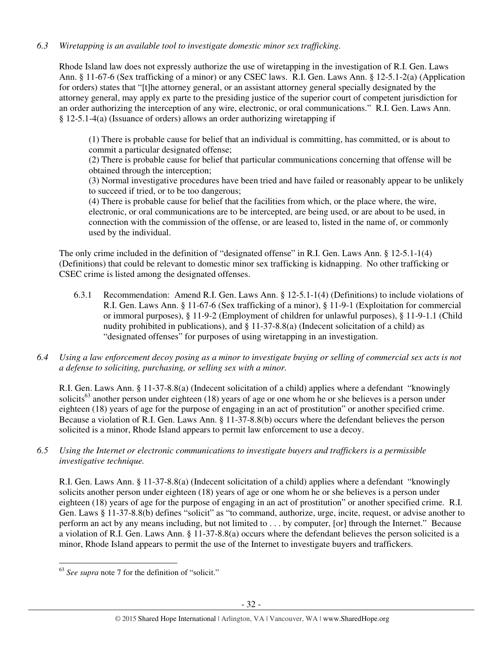# *6.3 Wiretapping is an available tool to investigate domestic minor sex trafficking.*

Rhode Island law does not expressly authorize the use of wiretapping in the investigation of R.I. Gen. Laws Ann. § 11-67-6 (Sex trafficking of a minor) or any CSEC laws. R.I. Gen. Laws Ann. § 12-5.1-2(a) (Application for orders) states that "[t]he attorney general, or an assistant attorney general specially designated by the attorney general, may apply ex parte to the presiding justice of the superior court of competent jurisdiction for an order authorizing the interception of any wire, electronic, or oral communications." R.I. Gen. Laws Ann. § 12-5.1-4(a) (Issuance of orders) allows an order authorizing wiretapping if

(1) There is probable cause for belief that an individual is committing, has committed, or is about to commit a particular designated offense;

(2) There is probable cause for belief that particular communications concerning that offense will be obtained through the interception;

(3) Normal investigative procedures have been tried and have failed or reasonably appear to be unlikely to succeed if tried, or to be too dangerous;

(4) There is probable cause for belief that the facilities from which, or the place where, the wire, electronic, or oral communications are to be intercepted, are being used, or are about to be used, in connection with the commission of the offense, or are leased to, listed in the name of, or commonly used by the individual.

The only crime included in the definition of "designated offense" in R.I. Gen. Laws Ann. § 12-5.1-1(4) (Definitions) that could be relevant to domestic minor sex trafficking is kidnapping. No other trafficking or CSEC crime is listed among the designated offenses.

- 6.3.1 Recommendation: Amend R.I. Gen. Laws Ann. § 12-5.1-1(4) (Definitions) to include violations of R.I. Gen. Laws Ann. § 11-67-6 (Sex trafficking of a minor), § 11-9-1 (Exploitation for commercial or immoral purposes), § 11-9-2 (Employment of children for unlawful purposes), § 11-9-1.1 (Child nudity prohibited in publications), and § 11-37-8.8(a) (Indecent solicitation of a child) as "designated offenses" for purposes of using wiretapping in an investigation.
- *6.4 Using a law enforcement decoy posing as a minor to investigate buying or selling of commercial sex acts is not a defense to soliciting, purchasing, or selling sex with a minor.*

R.I. Gen. Laws Ann. § 11-37-8.8(a) (Indecent solicitation of a child) applies where a defendant "knowingly solicits<sup>63</sup> another person under eighteen (18) years of age or one whom he or she believes is a person under eighteen (18) years of age for the purpose of engaging in an act of prostitution" or another specified crime. Because a violation of R.I. Gen. Laws Ann. § 11-37-8.8(b) occurs where the defendant believes the person solicited is a minor, Rhode Island appears to permit law enforcement to use a decoy.

*6.5 Using the Internet or electronic communications to investigate buyers and traffickers is a permissible investigative technique.* 

R.I. Gen. Laws Ann. § 11-37-8.8(a) (Indecent solicitation of a child) applies where a defendant "knowingly solicits another person under eighteen (18) years of age or one whom he or she believes is a person under eighteen (18) years of age for the purpose of engaging in an act of prostitution" or another specified crime. R.I. Gen. Laws § 11-37-8.8(b) defines "solicit" as "to command, authorize, urge, incite, request, or advise another to perform an act by any means including, but not limited to . . . by computer, [or] through the Internet." Because a violation of R.I. Gen. Laws Ann. § 11-37-8.8(a) occurs where the defendant believes the person solicited is a minor, Rhode Island appears to permit the use of the Internet to investigate buyers and traffickers.

l

<sup>63</sup> *See supra* note 7 for the definition of "solicit."